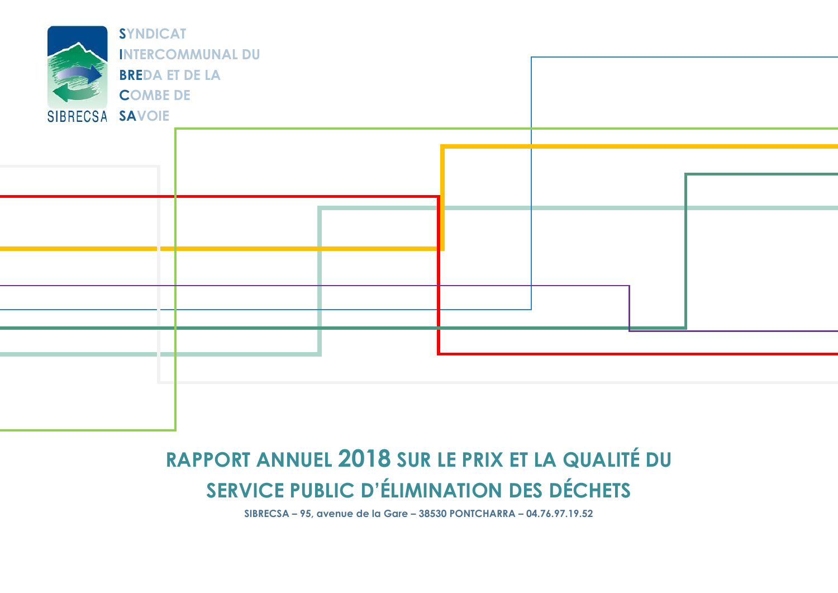

# **RAPPORT ANNUEL 2018 SUR LE PRIX ET LA QUALITÉ DU SERVICE PUBLIC D'ÉLIMINATION DES DÉCHETS**

**SIBRECSA – 95, avenue de la Gare – 38530 PONTCHARRA – 04.76.97.19.52**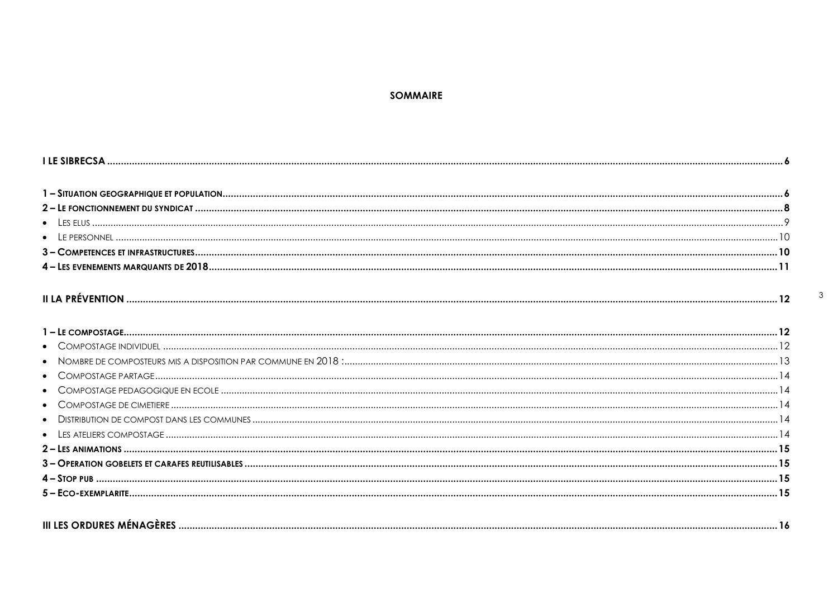#### **SOMMAIRE**

| $\bullet$ |  |
|-----------|--|
|           |  |
|           |  |
|           |  |
|           |  |
|           |  |
|           |  |
|           |  |
| $\bullet$ |  |
|           |  |
|           |  |
|           |  |
|           |  |
|           |  |

 $\mathbf{3}$ 

| $III$ $I$ |
|-----------|
|-----------|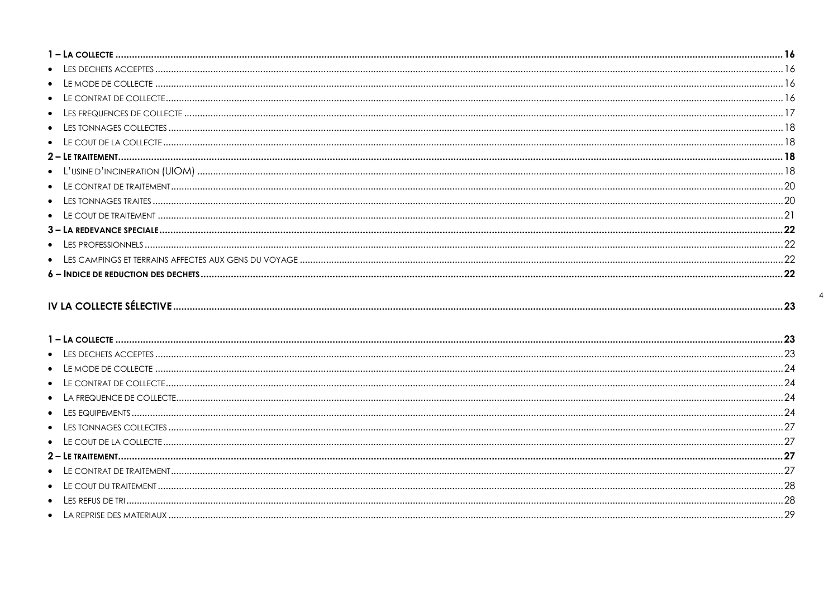|--|

 $\overline{4}$ 

| $\qquad \qquad \text{LE COUT DE LA COLIECTE} \label{eq:LECOUT} \qquad \qquad \text{LE COUT DE LA COLIECTE} \qquad \qquad \text{} \qquad \qquad \text{} \qquad \text{} \qquad \text{} \qquad \text{} \qquad \text{} \qquad \text{} \qquad \text{} \qquad \text{} \qquad \text{} \qquad \text{} \qquad \text{} \qquad \text{} \qquad \text{} \qquad \text{} \qquad \text{} \qquad \text{} \qquad \text{} \qquad \text{} \qquad \text{} \qquad \text$ |  |
|----------------------------------------------------------------------------------------------------------------------------------------------------------------------------------------------------------------------------------------------------------------------------------------------------------------------------------------------------------------------------------------------------------------------------------------------------|--|
|                                                                                                                                                                                                                                                                                                                                                                                                                                                    |  |
|                                                                                                                                                                                                                                                                                                                                                                                                                                                    |  |
|                                                                                                                                                                                                                                                                                                                                                                                                                                                    |  |
|                                                                                                                                                                                                                                                                                                                                                                                                                                                    |  |
|                                                                                                                                                                                                                                                                                                                                                                                                                                                    |  |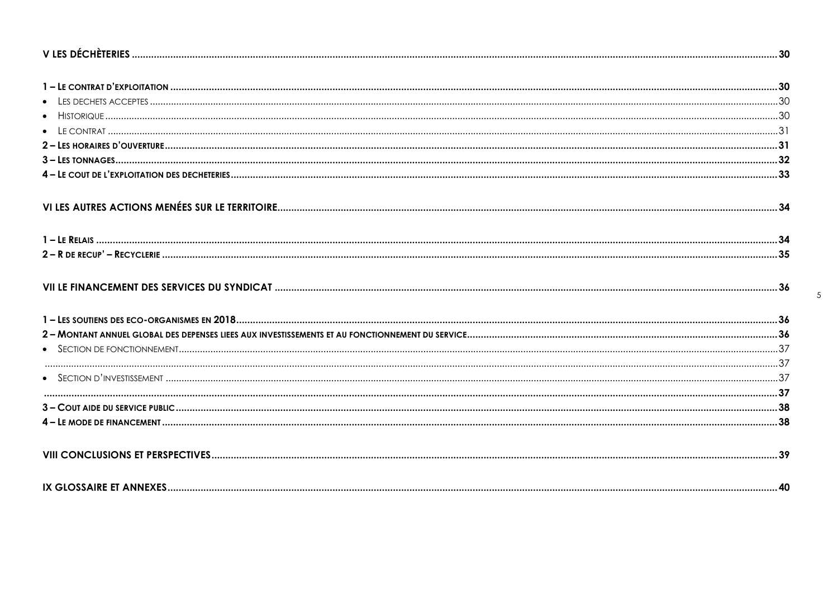$5\overline{)}$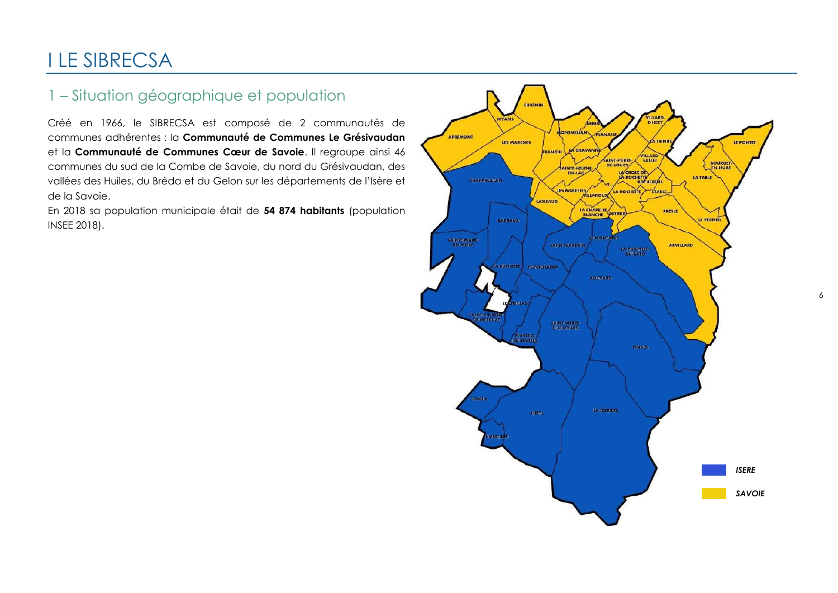## <span id="page-5-0"></span>I LE SIBRECSA

## <span id="page-5-1"></span>1 – Situation géographique et population

Créé en 1966, le SIBRECSA est composé de 2 communautés de communes adhérentes : la **Communauté de Communes Le Grésivaudan** et la **Communauté de Communes Cœur de Savoie**. Il regroupe ainsi 46 communes du sud de la Combe de Savoie, du nord du Grésivaudan, des vallées des Huiles, du Bréda et du Gelon sur les départements de l'Isère et de la Savoie.

En 2018 sa population municipale était de **54 874 habitants** (population INSEE 2018).



6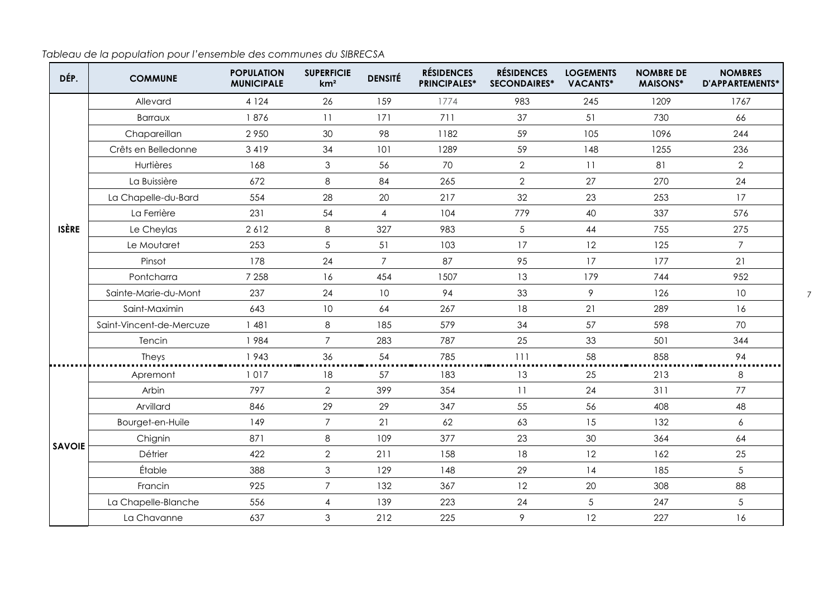*Tableau de la population pour l'ensemble des communes du SIBRECSA*

| DÉP.          | <b>COMMUNE</b>           | <b>POPULATION</b><br><b>MUNICIPALE</b> | <b>SUPERFICIE</b><br>km <sup>2</sup> | <b>DENSITÉ</b>  | <b>RÉSIDENCES</b><br><b>PRINCIPALES*</b> | <b>RÉSIDENCES</b><br><b>SECONDAIRES*</b> | <b>LOGEMENTS</b><br><b>VACANTS*</b> | <b>NOMBRE DE</b><br><b>MAISONS*</b> | <b>NOMBRES</b><br>D'APPARTEMENTS* |
|---------------|--------------------------|----------------------------------------|--------------------------------------|-----------------|------------------------------------------|------------------------------------------|-------------------------------------|-------------------------------------|-----------------------------------|
|               | Allevard                 | 4 1 2 4                                | 26                                   | 159             | 1774                                     | 983                                      | 245                                 | 1209                                | 1767                              |
|               | <b>Barraux</b>           | 1876                                   | 11                                   | 171             | 711                                      | 37                                       | 51                                  | 730                                 | 66                                |
|               | Chapareillan             | 2950                                   | 30                                   | 98              | 1182                                     | 59                                       | 105                                 | 1096                                | 244                               |
|               | Crêts en Belledonne      | 3419                                   | 34                                   | 101             | 1289                                     | 59                                       | 148                                 | 1255                                | 236                               |
|               | Hurtières                | 168                                    | $\mathfrak 3$                        | 56              | 70                                       | $\overline{2}$                           | 11                                  | 81                                  | $\mathbf{2}$                      |
|               | La Buissière             | 672                                    | $\,8\,$                              | 84              | 265                                      | $\overline{2}$                           | 27                                  | 270                                 | 24                                |
|               | La Chapelle-du-Bard      | 554                                    | 28                                   | 20              | 217                                      | 32                                       | 23                                  | 253                                 | 17                                |
|               | La Ferrière              | 231                                    | 54                                   | $\overline{4}$  | 104                                      | 779                                      | 40                                  | 337                                 | 576                               |
| <b>ISÈRE</b>  | Le Cheylas               | 2612                                   | 8                                    | 327             | 983                                      | $\sqrt{5}$                               | 44                                  | 755                                 | 275                               |
|               | Le Moutaret              | 253                                    | $\sqrt{5}$                           | 51              | 103                                      | 17                                       | 12                                  | 125                                 | $\overline{7}$                    |
|               | Pinsot                   | 178                                    | 24                                   | $\overline{7}$  | 87                                       | 95                                       | 17                                  | 177                                 | 21                                |
|               | Pontcharra               | 7 2 5 8                                | 16                                   | 454             | 1507                                     | 13                                       | 179                                 | 744                                 | 952                               |
|               | Sainte-Marie-du-Mont     | 237                                    | 24                                   | 10 <sup>°</sup> | 94                                       | 33                                       | 9                                   | 126                                 | 10                                |
|               | Saint-Maximin            | 643                                    | 10                                   | 64              | 267                                      | 18                                       | 21                                  | 289                                 | 16                                |
|               | Saint-Vincent-de-Mercuze | 1481                                   | $\,8\,$                              | 185             | 579                                      | 34                                       | 57                                  | 598                                 | 70                                |
|               | Tencin                   | 1984                                   | $\overline{7}$                       | 283             | 787                                      | 25                                       | 33                                  | 501                                 | 344                               |
|               | Theys                    | 1943                                   | 36                                   | 54              | 785                                      | 111                                      | 58                                  | 858                                 | 94                                |
|               | Apremont                 | 1017                                   | 18                                   | 57              | 183                                      | 13                                       | 25                                  | 213                                 | 8                                 |
|               | Arbin                    | 797                                    | $\overline{2}$                       | 399             | 354                                      | 11                                       | 24                                  | 311                                 | 77                                |
|               | Arvillard                | 846                                    | 29                                   | 29              | 347                                      | 55                                       | 56                                  | 408                                 | 48                                |
|               | Bourget-en-Huile         | 149                                    | $\overline{7}$                       | 21              | 62                                       | 63                                       | 15                                  | 132                                 | $\epsilon$                        |
|               | Chignin                  | 871                                    | 8                                    | 109             | 377                                      | 23                                       | 30                                  | 364                                 | 64                                |
| <b>SAVOIE</b> | Détrier                  | 422                                    | $\mathbf{2}$                         | 211             | 158                                      | 18                                       | 12                                  | 162                                 | 25                                |
|               | Étable                   | 388                                    | $\mathfrak 3$                        | 129             | 148                                      | 29                                       | 14                                  | 185                                 | 5                                 |
|               | Francin                  | 925                                    | $\overline{7}$                       | 132             | 367                                      | 12                                       | 20                                  | 308                                 | 88                                |
|               | La Chapelle-Blanche      | 556                                    | $\overline{4}$                       | 139             | 223                                      | 24                                       | 5                                   | 247                                 | 5                                 |
|               | La Chavanne              | 637                                    | 3                                    | 212             | 225                                      | 9                                        | 12                                  | 227                                 | 16                                |

7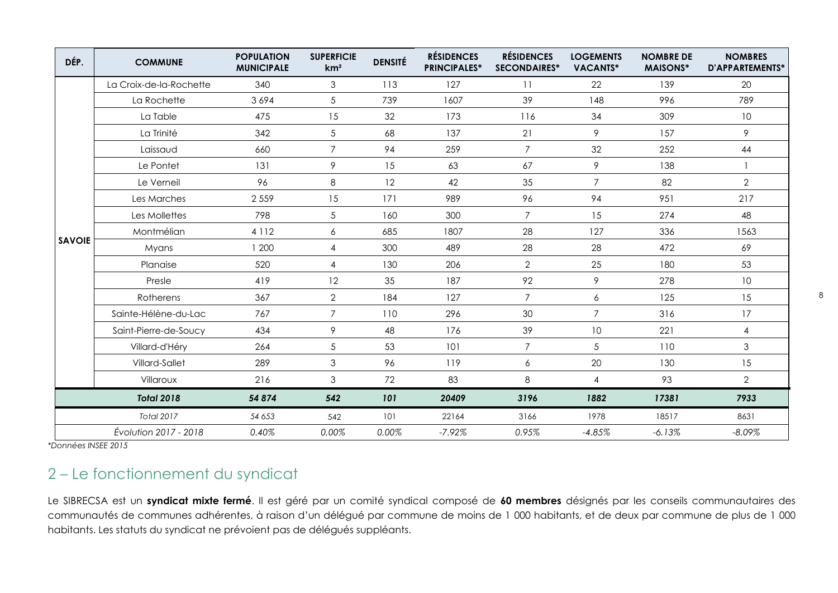| DÉP.          | <b>COMMUNE</b>          | <b>POPULATION</b><br><b>MUNICIPALE</b> | <b>SUPERFICIE</b><br>km <sup>2</sup> | <b>DENSITÉ</b> | <b>RÉSIDENCES</b><br><b>PRINCIPALES*</b> | <b>RÉSIDENCES</b><br><b>SECONDAIRES*</b> | <b>LOGEMENTS</b><br><b>VACANTS*</b> | <b>NOMBRE DE</b><br><b>MAISONS*</b> | <b>NOMBRES</b><br>D'APPARTEMENTS* |
|---------------|-------------------------|----------------------------------------|--------------------------------------|----------------|------------------------------------------|------------------------------------------|-------------------------------------|-------------------------------------|-----------------------------------|
|               | La Croix-de-la-Rochette | 340                                    | 3                                    | 113            | 127                                      | 11                                       | 22                                  | 139                                 | 20                                |
|               | La Rochette             | 3694                                   | $\sqrt{5}$                           | 739            | 1607                                     | 39                                       | 148                                 | 996                                 | 789                               |
|               | La Table                | 475                                    | 15                                   | 32             | 173                                      | 116                                      | 34                                  | 309                                 | 10                                |
|               | La Trinité              | 342                                    | $\sqrt{5}$                           | 68             | 137                                      | 21                                       | 9                                   | 157                                 | 9                                 |
|               | Laissaud                | 660                                    | $\overline{7}$                       | 94             | 259                                      | $\overline{7}$                           | 32                                  | 252                                 | 44                                |
|               | Le Pontet               | 131                                    | 9                                    | 15             | 63                                       | 67                                       | 9                                   | 138                                 | $\mathbf{1}$                      |
|               | Le Verneil              | 96                                     | 8                                    | 12             | 42                                       | 35                                       | $\overline{7}$                      | 82                                  | $\overline{2}$                    |
|               | Les Marches             | 2 5 5 9                                | 15                                   | 171            | 989                                      | 96                                       | 94                                  | 951                                 | 217                               |
|               | Les Mollettes           | 798                                    | $5\,$                                | 160            | 300                                      | $\overline{7}$                           | 15                                  | 274                                 | 48                                |
|               | Montmélian              | 4 1 1 2                                | 6                                    | 685            | 1807                                     | 28                                       | 127                                 | 336                                 | 1563                              |
| <b>SAVOIE</b> | Myans                   | 1 200                                  | $\overline{4}$                       | 300            | 489                                      | 28                                       | 28                                  | 472                                 | 69                                |
|               | Planaise                | 520                                    | $\overline{4}$                       | 130            | 206                                      | $\overline{2}$                           | 25                                  | 180                                 | 53                                |
|               | Presle                  | 419                                    | 12                                   | 35             | 187                                      | 92                                       | 9                                   | 278                                 | 10 <sup>°</sup>                   |
|               | Rotherens               | 367                                    | $\mathbf{2}$                         | 184            | 127                                      | $\overline{7}$                           | 6                                   | 125                                 | 15                                |
|               | Sainte-Hélène-du-Lac    | 767                                    | $\overline{7}$                       | 110            | 296                                      | 30                                       | $\overline{7}$                      | 316                                 | 17                                |
|               | Saint-Pierre-de-Soucy   | 434                                    | 9                                    | 48             | 176                                      | 39                                       | 10                                  | 221                                 | $\overline{4}$                    |
|               | Villard-d'Héry          | 264                                    | $5\,$                                | 53             | 101                                      | $\overline{7}$                           | 5                                   | 110                                 | $\mathfrak{S}$                    |
|               | Villard-Sallet          | 289                                    | $\mathfrak{S}$                       | 96             | 119                                      | $\boldsymbol{6}$                         | 20                                  | 130                                 | 15                                |
|               | Villaroux               | 216                                    | $\mathfrak{S}$                       | 72             | 83                                       | 8                                        | $\overline{4}$                      | 93                                  | $\overline{2}$                    |
|               | <b>Total 2018</b>       | 54 874                                 | 542                                  | 101            | 20409                                    | 3196                                     | 1882                                | 17381                               | 7933                              |
|               | <b>Total 2017</b>       | 54 653                                 | 542                                  | 101            | 22164                                    | 3166                                     | 1978                                | 18517                               | 8631                              |
|               | Évolution 2017 - 2018   | 0.40%                                  | 0,00%                                | 0,00%          | $-7.92%$                                 | 0.95%                                    | $-4.85%$                            | $-6.13%$                            | $-8.09%$                          |

<span id="page-7-0"></span>*\*Données INSEE 2015*

## 2 – Le fonctionnement du syndicat

Le SIBRECSA est un **syndicat mixte fermé**. Il est géré par un comité syndical composé de **60 membres** désignés par les conseils communautaires des communautés de communes adhérentes, à raison d'un délégué par commune de moins de 1 000 habitants, et de deux par commune de plus de 1 000 habitants. Les statuts du syndicat ne prévoient pas de délégués suppléants.

8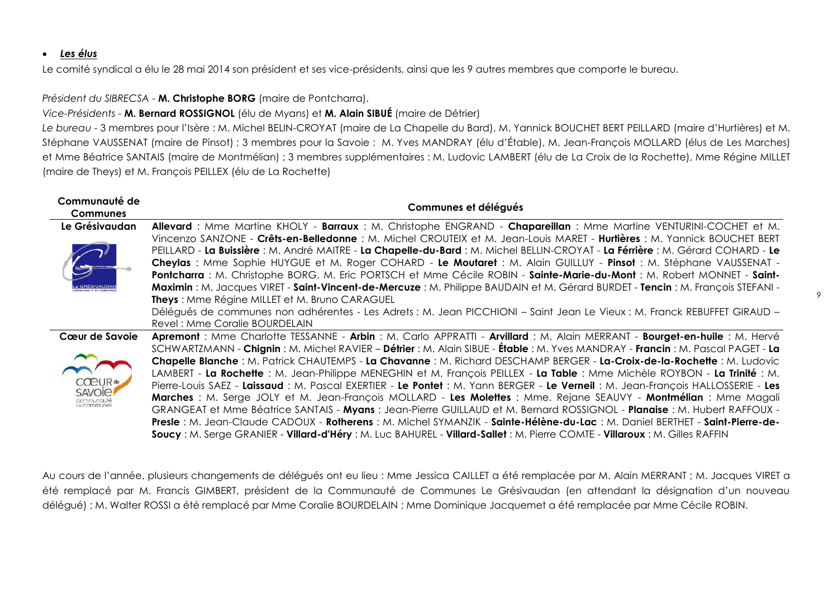#### <span id="page-8-0"></span>*Les élus*

Le comité syndical a élu le 28 mai 2014 son président et ses vice-présidents, ainsi que les 9 autres membres que comporte le bureau.

#### *Président du SIBRECSA* - **M. Christophe BORG** (maire de Pontcharra).

#### *Vice-Présidents* - **M. Bernard ROSSIGNOL** (élu de Myans) et **M. Alain SIBUÉ** (maire de Détrier)

*Le bureau* - 3 membres pour l'Isère : M. Michel BELIN-CROYAT (maire de La Chapelle du Bard), M. Yannick BOUCHET BERT PEILLARD (maire d'Hurtières) et M. Stéphane VAUSSENAT (maire de Pinsot) ; 3 membres pour la Savoie : M. Yves MANDRAY (élu d'Étable), M. Jean-François MOLLARD (élus de Les Marches) et Mme Béatrice SANTAIS (maire de Montmélian) ; 3 membres supplémentaires : M. Ludovic LAMBERT (élu de La Croix de la Rochette), Mme Régine MILLET (maire de Theys) et M. François PEILLEX (élu de La Rochette)

| Communauté de          | Communes et délégués                                                                                                             |
|------------------------|----------------------------------------------------------------------------------------------------------------------------------|
| <b>Communes</b>        |                                                                                                                                  |
| Le Grésivaudan         | Allevard: Mme Martine KHOLY - Barraux: M. Christophe ENGRAND - Chapareillan: Mme Martine VENTURINI-COCHET et M.                  |
|                        | Vincenzo SANZONE - Crêts-en-Belledonne : M. Michel CROUTEIX et M. Jean-Louis MARET - Hurtières : M. Yannick BOUCHET BERT         |
|                        | PEILLARD - La Buissière : M. André MAITRE - La Chapelle-du-Bard : M. Michel BELLIN-CROYAT - La Férrière : M. Gérard COHARD - Le  |
|                        | Cheylas : Mme Sophie HUYGUE et M. Roger COHARD - Le Moutaret : M. Alain GUILLUY - Pinsot : M. Stéphane VAUSSENAT -               |
|                        | Pontcharra : M. Christophe BORG, M. Eric PORTSCH et Mme Cécile ROBIN - Sainte-Marie-du-Mont : M. Robert MONNET - Saint-          |
|                        | Maximin: M. Jacques VIRET - Saint-Vincent-de-Mercuze: M. Philippe BAUDAIN et M. Gérard BURDET - Tencin: M. François STEFANI -    |
|                        | <b>Theys: Mme Régine MILLET et M. Bruno CARAGUEL</b>                                                                             |
|                        | Délégués de communes non adhérentes - Les Adrets : M. Jean PICCHIONI - Saint Jean Le Vieux : M. Franck REBUFFET GIRAUD -         |
|                        | Revel: Mme Coralie BOURDELAIN                                                                                                    |
| Cœur de Savoie         | Apremont : Mme Charlotte TESSANNE - Arbin : M. Carlo APPRATTI - Arvillard : M. Alain MERRANT - Bourget-en-huile : M. Hervé       |
|                        | SCHWARTZMANN - Chignin: M. Michel RAVIER - Détrier: M. Alain SIBUE - Étable: M. Yves MANDRAY - Francin: M. Pascal PAGET - La     |
|                        | Chapelle Blanche : M. Patrick CHAUTEMPS - La Chavanne : M. Richard DESCHAMP BERGER - La-Croix-de-la-Rochette : M. Ludovic        |
|                        | LAMBERT - La Rochette : M. Jean-Philippe MENEGHIN et M. François PEILLEX - La Table : Mme Michèle ROYBON - La Trinité : M.       |
| CPIIR<br><b>SAVOIE</b> | Pierre-Louis SAEZ - Laissaud : M. Pascal EXERTIER - Le Pontet : M. Yann BERGER - Le Verneil : M. Jean-François HALLOSSERIE - Les |
| de communes            | Marches : M. Serge JOLY et M. Jean-François MOLLARD - Les Molettes : Mme. Rejane SEAUVY - Montmélian : Mme Magali                |
|                        | GRANGEAT et Mme Béatrice SANTAIS - Myans : Jean-Pierre GUILLAUD et M. Bernard ROSSIGNOL - Planaise : M. Hubert RAFFOUX -         |
|                        | Presle: M. Jean-Claude CADOUX - Rotherens: M. Michel SYMANZIK - Sainte-Hélène-du-Lac: M. Daniel BERTHET - Saint-Pierre-de-       |
|                        | Soucy: M. Serge GRANIER - Villard-d'Héry: M. Luc BAHUREL - Villard-Sallet: M. Pierre COMTE - Villaroux: M. Gilles RAFFIN         |

Au cours de l'année, plusieurs changements de délégués ont eu lieu : Mme Jessica CAILLET a été remplacée par M. Alain MERRANT ; M. Jacques VIRET a été remplacé par M. Francis GIMBERT, président de la Communauté de Communes Le Grésivaudan (en attendant la désignation d'un nouveau délégué) ; M. Walter ROSSI a été remplacé par Mme Coralie BOURDELAIN ; Mme Dominique Jacquemet a été remplacée par Mme Cécile ROBIN.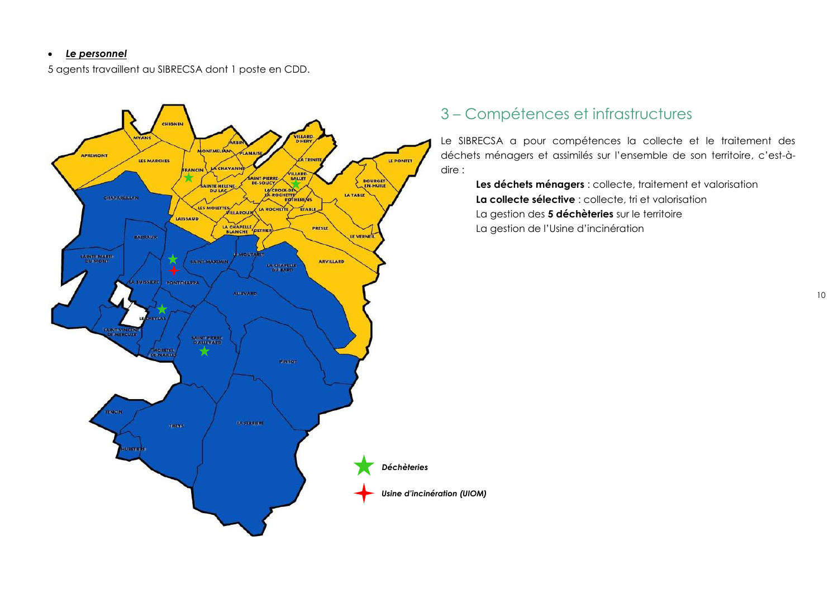#### <span id="page-9-0"></span>*Le personnel*

5 agents travaillent au SIBRECSA dont 1 poste en CDD.



## <span id="page-9-1"></span>3 – Compétences et infrastructures

Le SIBRECSA a pour compétences la collecte et le traitement des déchets ménagers et assimilés sur l'ensemble de son territoire, c'est-àdire :

**Les déchets ménagers** : collecte, traitement et valorisation **La collecte sélective** : collecte, tri et valorisation La gestion des **5 déchèteries** sur le territoire La gestion de l'Usine d'incinération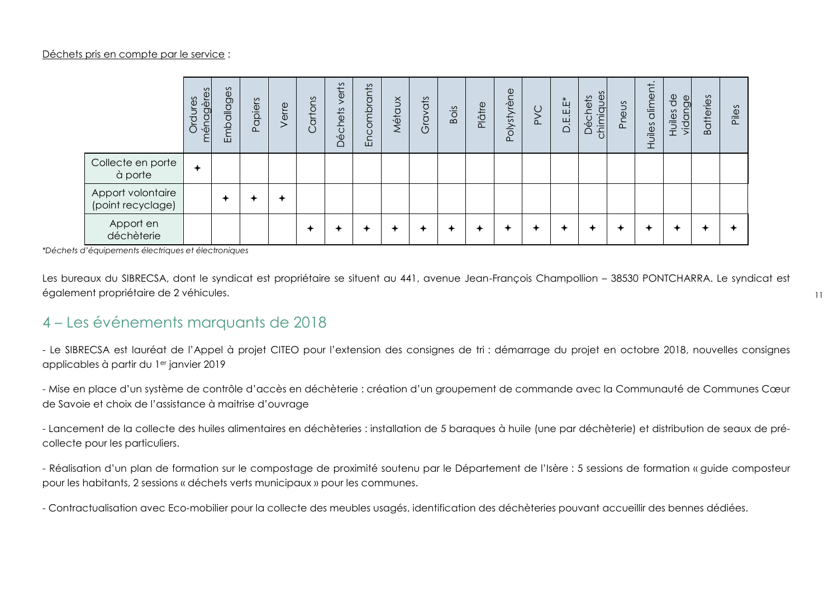|                                        | ménagères<br>Ordures | Emballages | Papiers | Verre | cartons<br>$\cup$ | verts<br><b>Déchets</b> | Encombrants | Métaux | Gravats | Bois | Plâtre | $\mathbf 0$<br>Polystyrèn | <b>SVC</b> | $D.E.E.E*$ | chimiques<br>échets | eus<br>Ě | diment<br>Huiles | $\frac{1}{\alpha}$<br>$\frac{\Theta}{\Theta}$<br>idany<br>Huiles | <b>Batteries</b> | Piles |
|----------------------------------------|----------------------|------------|---------|-------|-------------------|-------------------------|-------------|--------|---------|------|--------|---------------------------|------------|------------|---------------------|----------|------------------|------------------------------------------------------------------|------------------|-------|
| Collecte en porte<br>à porte           | ✦                    |            |         |       |                   |                         |             |        |         |      |        |                           |            |            |                     |          |                  |                                                                  |                  |       |
| Apport volontaire<br>(point recyclage) |                      |            |         |       |                   |                         |             |        |         |      |        |                           |            |            |                     |          |                  |                                                                  |                  |       |
| Apport en<br>déchèterie                |                      |            |         |       |                   |                         |             |        |         |      |        |                           |            |            |                     | ✦        |                  |                                                                  |                  |       |

*\*Déchets d'équipements électriques et électroniques*

Les bureaux du SIBRECSA, dont le syndicat est propriétaire se situent au 441, avenue Jean-François Champollion – 38530 PONTCHARRA. Le syndicat est également propriétaire de 2 véhicules.

## <span id="page-10-0"></span>4 – Les événements marquants de 2018

- Le SIBRECSA est lauréat de l'Appel à projet CITEO pour l'extension des consignes de tri : démarrage du projet en octobre 2018, nouvelles consignes applicables à partir du 1er janvier 2019

- Mise en place d'un système de contrôle d'accès en déchèterie : création d'un groupement de commande avec la Communauté de Communes Cœur de Savoie et choix de l'assistance à maitrise d'ouvrage

- Lancement de la collecte des huiles alimentaires en déchèteries : installation de 5 baraques à huile (une par déchèterie) et distribution de seaux de précollecte pour les particuliers.

- Réalisation d'un plan de formation sur le compostage de proximité soutenu par le Département de l'Isère : 5 sessions de formation « guide composteur pour les habitants, 2 sessions « déchets verts municipaux » pour les communes.

- Contractualisation avec Eco-mobilier pour la collecte des meubles usagés, identification des déchèteries pouvant accueillir des bennes dédiées.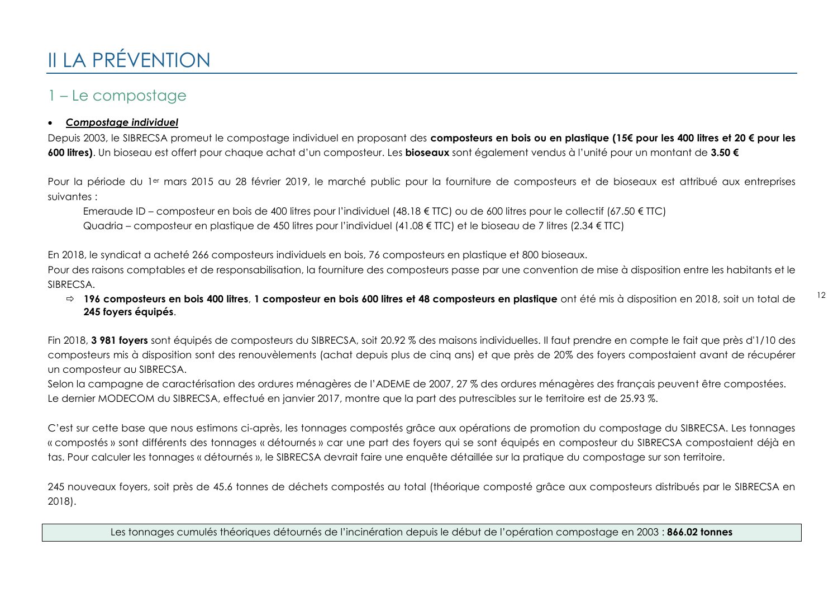# <span id="page-11-0"></span>II LA PRÉVENTION

## <span id="page-11-1"></span>1 – Le compostage

#### <span id="page-11-2"></span>*Compostage individuel*

Depuis 2003, le SIBRECSA promeut le compostage individuel en proposant des **composteurs en bois ou en plastique (15€ pour les 400 litres et 20 € pour les 600 litres)**. Un bioseau est offert pour chaque achat d'un composteur. Les **bioseaux** sont également vendus à l'unité pour un montant de **3.50 €**

Pour la période du 1<sup>er</sup> mars 2015 au 28 février 2019, le marché public pour la fourniture de composteurs et de bioseaux est attribué aux entreprises suivantes :

Emeraude ID – composteur en bois de 400 litres pour l'individuel (48.18 € TTC) ou de 600 litres pour le collectif (67.50 € TTC) Quadria – composteur en plastique de 450 litres pour l'individuel (41.08 € TTC) et le bioseau de 7 litres (2.34 € TTC)

En 2018, le syndicat a acheté 266 composteurs individuels en bois, 76 composteurs en plastique et 800 bioseaux.

Pour des raisons comptables et de responsabilisation, la fourniture des composteurs passe par une convention de mise à disposition entre les habitants et le SIBRECSA.

 **196 composteurs en bois 400 litres**, **1 composteur en bois 600 litres et 48 composteurs en plastique** ont été mis à disposition en 2018, soit un total de **245 foyers équipés**.

12

Fin 2018, **3 981 foyers** sont équipés de composteurs du SIBRECSA, soit 20.92 % des maisons individuelles. Il faut prendre en compte le fait que près d'1/10 des composteurs mis à disposition sont des renouvèlements (achat depuis plus de cinq ans) et que près de 20% des foyers compostaient avant de récupérer un composteur au SIBRECSA.

Selon la campagne de caractérisation des ordures ménagères de l'ADEME de 2007, 27 % des ordures ménagères des français peuvent être compostées. Le dernier MODECOM du SIBRECSA, effectué en janvier 2017, montre que la part des putrescibles sur le territoire est de 25.93 %.

C'est sur cette base que nous estimons ci-après, les tonnages compostés grâce aux opérations de promotion du compostage du SIBRECSA. Les tonnages « compostés » sont différents des tonnages « détournés » car une part des foyers qui se sont équipés en composteur du SIBRECSA compostaient déjà en tas. Pour calculer les tonnages « détournés », le SIBRECSA devrait faire une enquête détaillée sur la pratique du compostage sur son territoire.

245 nouveaux foyers, soit près de 45.6 tonnes de déchets compostés au total (théorique composté grâce aux composteurs distribués par le SIBRECSA en 2018).

Les tonnages cumulés théoriques détournés de l'incinération depuis le début de l'opération compostage en 2003 : **866.02 tonnes**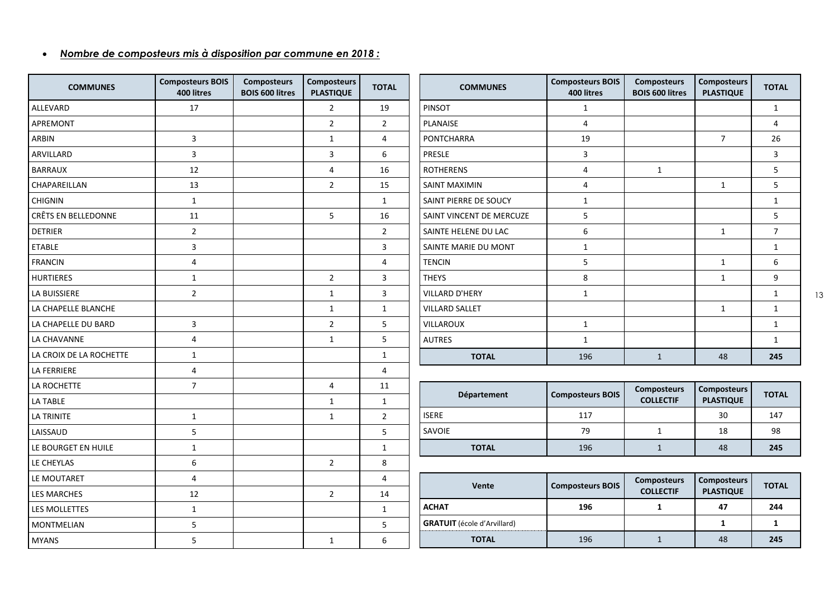#### <span id="page-12-0"></span>*Nombre de composteurs mis à disposition par commune en 2018 :*

| <b>COMMUNES</b>         | <b>Composteurs BOIS</b><br>400 litres | <b>Composteurs</b><br><b>BOIS 600 litres</b> | <b>Composteurs</b><br><b>PLASTIQUE</b> | <b>TOTAL</b>   |
|-------------------------|---------------------------------------|----------------------------------------------|----------------------------------------|----------------|
| ALLEVARD                | 17                                    |                                              | 2                                      | 19             |
| APREMONT                |                                       |                                              | 2                                      | $\overline{2}$ |
| ARBIN                   | 3                                     |                                              | 1                                      | 4              |
| ARVILLARD               | 3                                     |                                              | 3                                      | 6              |
| <b>BARRAUX</b>          | 12                                    |                                              | 4                                      | 16             |
| CHAPAREILLAN            | 13                                    |                                              | $\overline{2}$                         | 15             |
| <b>CHIGNIN</b>          | $\mathbf{1}$                          |                                              |                                        | $\mathbf 1$    |
| CRÊTS EN BELLEDONNE     | 11                                    |                                              | 5                                      | 16             |
| <b>DETRIER</b>          | $\overline{2}$                        |                                              |                                        | $\overline{2}$ |
| <b>ETABLE</b>           | 3                                     |                                              |                                        | 3              |
| <b>FRANCIN</b>          | 4                                     |                                              |                                        | 4              |
| <b>HURTIERES</b>        | $\mathbf{1}$                          |                                              | $\overline{2}$                         | 3              |
| <b>LA BUISSIERE</b>     | $\overline{2}$                        |                                              | $\mathbf{1}$                           | 3              |
| LA CHAPELLE BLANCHE     |                                       |                                              | $\mathbf{1}$                           | $\mathbf 1$    |
| LA CHAPELLE DU BARD     | 3                                     |                                              | 2                                      | 5              |
| LA CHAVANNE             | 4                                     |                                              | $\mathbf{1}$                           | 5              |
| LA CROIX DE LA ROCHETTE | $\mathbf 1$                           |                                              |                                        | $\mathbf 1$    |
| <b>LA FERRIERE</b>      | 4                                     |                                              |                                        | 4              |
| LA ROCHETTE             | $\overline{7}$                        |                                              | 4                                      | 11             |
| <b>LA TABLE</b>         |                                       |                                              | 1                                      | $\mathbf 1$    |
| LA TRINITE              | $\mathbf{1}$                          |                                              | $\mathbf{1}$                           | $\overline{2}$ |
| LAISSAUD                | 5                                     |                                              |                                        | 5              |
| LE BOURGET EN HUILE     | $\mathbf 1$                           |                                              |                                        | $\mathbf{1}$   |
| LE CHEYLAS              | 6                                     |                                              | $\overline{2}$                         | 8              |
| LE MOUTARET             | 4                                     |                                              |                                        | 4              |
| <b>LES MARCHES</b>      | 12                                    |                                              | $\overline{2}$                         | 14             |
| LES MOLLETTES           | $\mathbf 1$                           |                                              |                                        | $\mathbf 1$    |
| MONTMELIAN              | 5                                     |                                              |                                        | 5              |
| <b>MYANS</b>            | 5                                     |                                              | 1                                      | 6              |

| <b>COMMUNES</b>          | <b>Composteurs BOIS</b><br>400 litres | <b>Composteurs</b><br><b>BOIS 600 litres</b> | <b>Composteurs</b><br><b>PLASTIQUE</b> | <b>TOTAL</b>   |
|--------------------------|---------------------------------------|----------------------------------------------|----------------------------------------|----------------|
| <b>PINSOT</b>            | $\mathbf{1}$                          |                                              |                                        | $\mathbf{1}$   |
| <b>PLANAISE</b>          | 4                                     |                                              |                                        | 4              |
| <b>PONTCHARRA</b>        | 19                                    |                                              | $\overline{7}$                         | 26             |
| <b>PRESLE</b>            | 3                                     |                                              |                                        | 3              |
| <b>ROTHERENS</b>         | 4                                     | $\mathbf{1}$                                 |                                        | 5              |
| <b>SAINT MAXIMIN</b>     | 4                                     |                                              | $\mathbf{1}$                           | 5              |
| SAINT PIERRE DE SOUCY    | $\mathbf{1}$                          |                                              |                                        | $\mathbf{1}$   |
| SAINT VINCENT DE MERCUZE | 5                                     |                                              |                                        | 5              |
| SAINTE HELENE DU LAC     | 6                                     |                                              | $\mathbf{1}$                           | $\overline{7}$ |
| SAINTE MARIE DU MONT     | $\mathbf{1}$                          |                                              |                                        | $\mathbf{1}$   |
| <b>TENCIN</b>            | 5                                     |                                              | $\mathbf{1}$                           | 6              |
| <b>THEYS</b>             | 8                                     |                                              | $\mathbf{1}$                           | 9              |
| <b>VILLARD D'HERY</b>    | $\mathbf{1}$                          |                                              |                                        | $\mathbf{1}$   |
| <b>VILLARD SALLET</b>    |                                       |                                              | $\mathbf{1}$                           | $\mathbf{1}$   |
| <b>VILLAROUX</b>         | $\mathbf{1}$                          |                                              |                                        | $\mathbf{1}$   |
| <b>AUTRES</b>            | $\mathbf{1}$                          |                                              |                                        | $\mathbf{1}$   |
| <b>TOTAL</b>             | 196                                   | $\mathbf{1}$                                 | 48                                     | 245            |

| <b>Département</b> | <b>Composteurs BOIS</b> | <b>Composteurs</b><br><b>COLLECTIF</b> | <b>Composteurs</b><br><b>PLASTIQUE</b> | <b>TOTAL</b> |
|--------------------|-------------------------|----------------------------------------|----------------------------------------|--------------|
| <b>ISERE</b>       | 117                     |                                        | 30                                     | 147          |
| <b>SAVOIE</b>      | 79                      |                                        | 18                                     | 98           |
| <b>TOTAL</b>       | 196                     |                                        | 48                                     | 245          |

| Vente                              | <b>Composteurs BOIS</b> | <b>Composteurs</b><br><b>COLLECTIF</b> | <b>Composteurs</b><br><b>PLASTIQUE</b> | <b>TOTAL</b> |
|------------------------------------|-------------------------|----------------------------------------|----------------------------------------|--------------|
| <b>ACHAT</b>                       | 196                     |                                        |                                        | 244          |
| <b>GRATUIT</b> (école d'Arvillard) |                         |                                        |                                        |              |
| <b>TOTAL</b>                       | 196                     |                                        | 48                                     | 245          |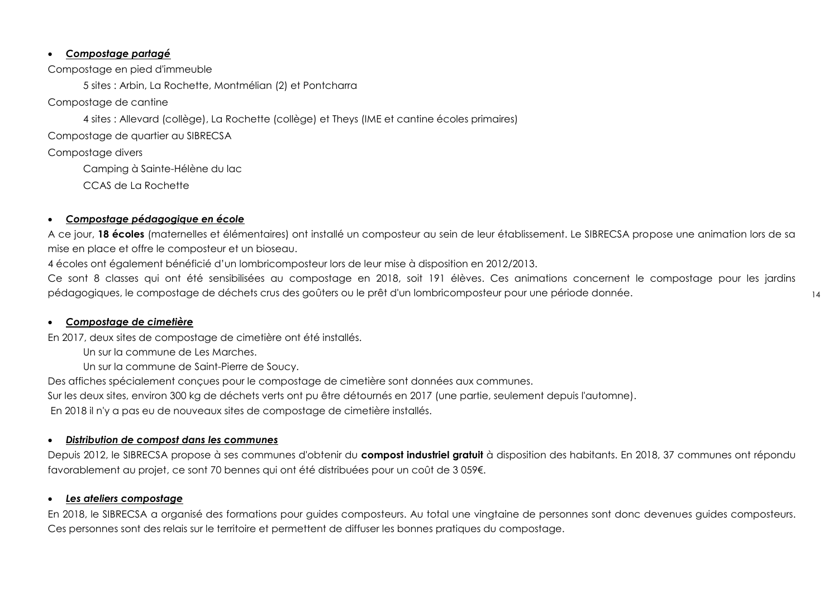#### <span id="page-13-0"></span>*Compostage partagé*

Compostage en pied d'immeuble

5 sites : Arbin, La Rochette, Montmélian (2) et Pontcharra

Compostage de cantine

4 sites : Allevard (collège), La Rochette (collège) et Theys (IME et cantine écoles primaires)

Compostage de quartier au SIBRECSA

Compostage divers

Camping à Sainte-Hélène du lac

CCAS de La Rochette

#### <span id="page-13-1"></span>*Compostage pédagogique en école*

A ce jour, **18 écoles** (maternelles et élémentaires) ont installé un composteur au sein de leur établissement. Le SIBRECSA propose une animation lors de sa mise en place et offre le composteur et un bioseau.

4 écoles ont également bénéficié d'un lombricomposteur lors de leur mise à disposition en 2012/2013.

Ce sont 8 classes qui ont été sensibilisées au compostage en 2018, soit 191 élèves. Ces animations concernent le compostage pour les jardins pédagogiques, le compostage de déchets crus des goûters ou le prêt d'un lombricomposteur pour une période donnée.

#### <span id="page-13-2"></span>*Compostage de cimetière*

En 2017, deux sites de compostage de cimetière ont été installés.

Un sur la commune de Les Marches.

Un sur la commune de Saint-Pierre de Soucy.

Des affiches spécialement conçues pour le compostage de cimetière sont données aux communes.

Sur les deux sites, environ 300 kg de déchets verts ont pu être détournés en 2017 (une partie, seulement depuis l'automne).

En 2018 il n'y a pas eu de nouveaux sites de compostage de cimetière installés.

#### <span id="page-13-3"></span>*Distribution de compost dans les communes*

Depuis 2012, le SIBRECSA propose à ses communes d'obtenir du **compost industriel gratuit** à disposition des habitants. En 2018, 37 communes ont répondu favorablement au projet, ce sont 70 bennes qui ont été distribuées pour un coût de 3 059€.

#### <span id="page-13-4"></span>*Les ateliers compostage*

En 2018, le SIBRECSA a organisé des formations pour guides composteurs. Au total une vingtaine de personnes sont donc devenues guides composteurs. Ces personnes sont des relais sur le territoire et permettent de diffuser les bonnes pratiques du compostage.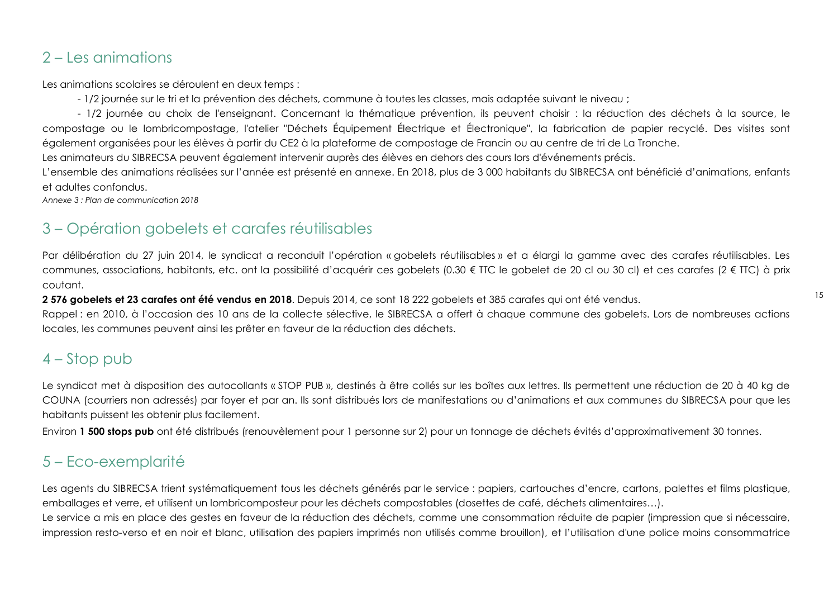## <span id="page-14-0"></span>2 – Les animations

Les animations scolaires se déroulent en deux temps :

- 1/2 journée sur le tri et la prévention des déchets, commune à toutes les classes, mais adaptée suivant le niveau ;

- 1/2 journée au choix de l'enseignant. Concernant la thématique prévention, ils peuvent choisir : la réduction des déchets à la source, le compostage ou le lombricompostage, l'atelier "Déchets Équipement Électrique et Électronique", la fabrication de papier recyclé. Des visites sont également organisées pour les élèves à partir du CE2 à la plateforme de compostage de Francin ou au centre de tri de La Tronche.

Les animateurs du SIBRECSA peuvent également intervenir auprès des élèves en dehors des cours lors d'événements précis.

L'ensemble des animations réalisées sur l'année est présenté en annexe. En 2018, plus de 3 000 habitants du SIBRECSA ont bénéficié d'animations, enfants et adultes confondus.

*Annexe 3 : Plan de communication 2018*

## <span id="page-14-1"></span>3 – Opération gobelets et carafes réutilisables

Par délibération du 27 juin 2014, le syndicat a reconduit l'opération « gobelets réutilisables » et a élargi la gamme avec des carafes réutilisables. Les communes, associations, habitants, etc. ont la possibilité d'acquérir ces gobelets (0.30 € TTC le gobelet de 20 cl ou 30 cl) et ces carafes (2 € TTC) à prix coutant.

**2 576 gobelets et 23 carafes ont été vendus en 2018**. Depuis 2014, ce sont 18 222 gobelets et 385 carafes qui ont été vendus.

Rappel : en 2010, à l'occasion des 10 ans de la collecte sélective, le SIBRECSA a offert à chaque commune des gobelets. Lors de nombreuses actions locales, les communes peuvent ainsi les prêter en faveur de la réduction des déchets.

## <span id="page-14-2"></span>4 – Stop pub

Le syndicat met à disposition des autocollants « STOP PUB », destinés à être collés sur les boîtes aux lettres. Ils permettent une réduction de 20 à 40 kg de COUNA (courriers non adressés) par foyer et par an. Ils sont distribués lors de manifestations ou d'animations et aux communes du SIBRECSA pour que les habitants puissent les obtenir plus facilement.

Environ **1 500 stops pub** ont été distribués (renouvèlement pour 1 personne sur 2) pour un tonnage de déchets évités d'approximativement 30 tonnes.

## <span id="page-14-3"></span>5 – Eco-exemplarité

Les agents du SIBRECSA trient systématiquement tous les déchets générés par le service : papiers, cartouches d'encre, cartons, palettes et films plastique, emballages et verre, et utilisent un lombricomposteur pour les déchets compostables (dosettes de café, déchets alimentaires…).

Le service a mis en place des gestes en faveur de la réduction des déchets, comme une consommation réduite de papier (impression que si nécessaire, impression resto-verso et en noir et blanc, utilisation des papiers imprimés non utilisés comme brouillon), et l'utilisation d'une police moins consommatrice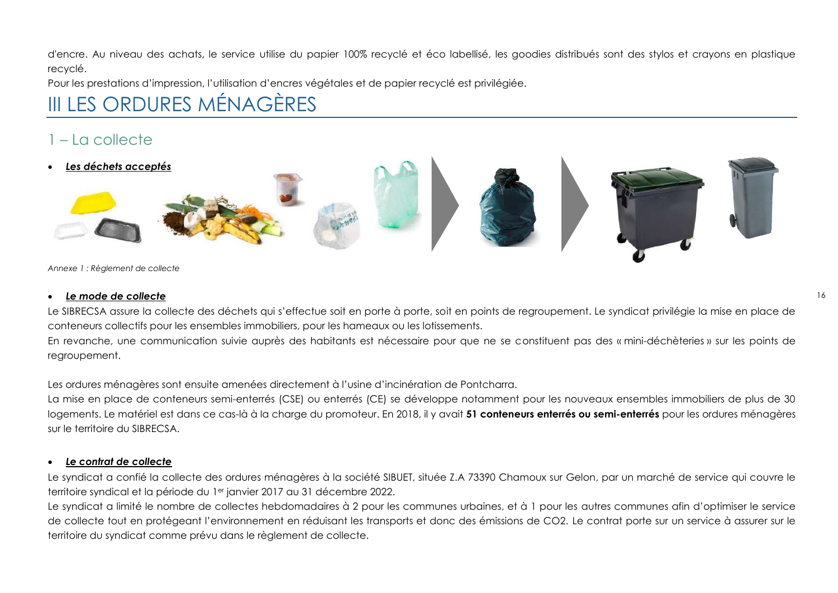d'encre. Au niveau des achats, le service utilise du papier 100% recyclé et éco labellisé, les goodies distribués sont des stylos et crayons en plastique recyclé.

Pour les prestations d'impression, l'utilisation d'encres végétales et de papier recyclé est privilégiée.

## <span id="page-15-0"></span>III LES ORDURES MÉNAGÈRES

## <span id="page-15-1"></span>1 – La collecte

<span id="page-15-2"></span>*Les déchets acceptés*





*Annexe 1 : Règlement de collecte*

#### <span id="page-15-3"></span>*Le mode de collecte*

Le SIBRECSA assure la collecte des déchets qui s'effectue soit en porte à porte, soit en points de regroupement. Le syndicat privilégie la mise en place de conteneurs collectifs pour les ensembles immobiliers, pour les hameaux ou les lotissements.

En revanche, une communication suivie auprès des habitants est nécessaire pour que ne se constituent pas des « mini-déchèteries » sur les points de regroupement.

Les ordures ménagères sont ensuite amenées directement à l'usine d'incinération de Pontcharra.

La mise en place de conteneurs semi-enterrés (CSE) ou enterrés (CE) se développe notamment pour les nouveaux ensembles immobiliers de plus de 30 logements. Le matériel est dans ce cas-là à la charge du promoteur. En 2018, il y avait **51 conteneurs enterrés ou semi-enterrés** pour les ordures ménagères sur le territoire du SIBRECSA.

#### <span id="page-15-4"></span>*Le contrat de collecte*

Le syndicat a confié la collecte des ordures ménagères à la société SIBUET, située Z.A 73390 Chamoux sur Gelon, par un marché de service qui couvre le territoire syndical et la période du 1er janvier 2017 au 31 décembre 2022.

Le syndicat a limité le nombre de collectes hebdomadaires à 2 pour les communes urbaines, et à 1 pour les autres communes afin d'optimiser le service de collecte tout en protégeant l'environnement en réduisant les transports et donc des émissions de CO2. Le contrat porte sur un service à assurer sur le territoire du syndicat comme prévu dans le règlement de collecte.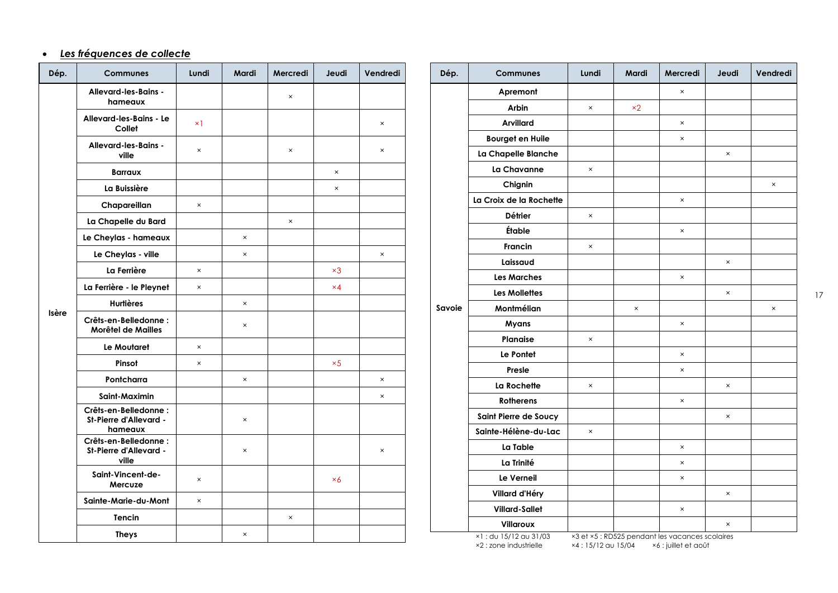#### <span id="page-16-0"></span>*Les fréquences de collecte*

| Dép.         | <b>Communes</b>                                           | Lundi      | Mardi                     | Mercredi | Jeudi      | Vendredi                  |  | Dé  |
|--------------|-----------------------------------------------------------|------------|---------------------------|----------|------------|---------------------------|--|-----|
|              | Allevard-les-Bains -<br>hameaux                           |            |                           | $\times$ |            |                           |  |     |
|              | Allevard-les-Bains - Le<br>Collet                         | $\times$ 1 |                           |          |            | $\pmb{\times}$            |  |     |
|              | Allevard-les-Bains -<br>ville                             | $\times$   |                           | $\times$ |            | $\boldsymbol{\mathsf{x}}$ |  |     |
|              | <b>Barraux</b>                                            |            |                           |          | ×          |                           |  |     |
|              | La Buissière                                              |            |                           |          | $\times$   |                           |  |     |
|              | Chapareillan                                              | $\times$   |                           |          |            |                           |  |     |
|              | La Chapelle du Bard                                       |            |                           | $\times$ |            |                           |  |     |
|              | Le Cheylas - hameaux                                      |            | $\times$                  |          |            |                           |  |     |
|              | Le Cheylas - ville                                        |            | $\pmb{\times}$            |          |            | $\pmb{\times}$            |  |     |
|              | La Ferrière                                               | ×          |                           |          | $\times 3$ |                           |  |     |
|              | La Ferrière - le Pleynet                                  | $\times$   |                           |          | $\times 4$ |                           |  |     |
|              | <b>Hurtières</b>                                          |            | $\times$                  |          |            |                           |  | Sav |
| <b>Isère</b> | Crêts-en-Belledonne:<br>Morêtel de Mailles                |            | $\times$                  |          |            |                           |  |     |
|              | Le Moutaret                                               | ×          |                           |          |            |                           |  |     |
|              | Pinsot                                                    | $\times$   |                           |          | $\times 5$ |                           |  |     |
|              | Pontcharra                                                |            | $\times$                  |          |            | $\times$                  |  |     |
|              | Saint-Maximin                                             |            |                           |          |            | $\boldsymbol{\mathsf{x}}$ |  |     |
|              | Crêts-en-Belledonne:<br>St-Pierre d'Allevard -<br>hameaux |            | $\boldsymbol{\mathsf{x}}$ |          |            |                           |  |     |
|              | Crêts-en-Belledonne:<br>St-Pierre d'Allevard -<br>ville   |            | $\times$                  |          |            | $\boldsymbol{\times}$     |  |     |
|              | Saint-Vincent-de-<br>Mercuze                              | $\times$   |                           |          | $\times 6$ |                           |  |     |
|              | Sainte-Marie-du-Mont                                      | $\times$   |                           |          |            |                           |  |     |
|              | Tencin                                                    |            |                           | $\times$ |            |                           |  |     |
|              | <b>Theys</b>                                              |            | $\pmb{\times}$            |          |            |                           |  |     |

| Dép.  | Communes                | Lundi          | Mardi      | Mercredi                                        | Jeudi    | Vendredi |
|-------|-------------------------|----------------|------------|-------------------------------------------------|----------|----------|
|       | Apremont                |                |            | $\times$                                        |          |          |
|       | Arbin                   | $\times$       | $\times 2$ |                                                 |          |          |
|       | <b>Arvillard</b>        |                |            | $\times$                                        |          |          |
|       | <b>Bourget en Huile</b> |                |            | $\boldsymbol{\mathsf{x}}$                       |          |          |
|       | La Chapelle Blanche     |                |            |                                                 | $\times$ |          |
|       | La Chavanne             | $\times$       |            |                                                 |          |          |
|       | Chignin                 |                |            |                                                 |          | $\times$ |
|       | La Croix de la Rochette |                |            | $\pmb{\times}$                                  |          |          |
|       | Détrier                 | $\times$       |            |                                                 |          |          |
|       | Étable                  |                |            | $\times$                                        |          |          |
|       | <b>Francin</b>          | $\times$       |            |                                                 |          |          |
|       | Laissaud                |                |            |                                                 | $\times$ |          |
|       | <b>Les Marches</b>      |                |            | $\pmb{\times}$                                  |          |          |
|       | Les Mollettes           |                |            |                                                 | $\times$ |          |
| avoie | Montmélian              |                | $\times$   |                                                 |          | $\times$ |
|       | Myans                   |                |            | $\times$                                        |          |          |
|       | Planaise                | $\pmb{\times}$ |            |                                                 |          |          |
|       | Le Pontet               |                |            | $\pmb{\times}$                                  |          |          |
|       | Presle                  |                |            | $\times$                                        |          |          |
|       | La Rochette             | $\times$       |            |                                                 | $\times$ |          |
|       | <b>Rotherens</b>        |                |            | $\times$                                        |          |          |
|       | Saint Pierre de Soucy   |                |            |                                                 | $\times$ |          |
|       | Sainte-Hélène-du-Lac    | $\times$       |            |                                                 |          |          |
|       | La Table                |                |            | $\times$                                        |          |          |
|       | La Trinité              |                |            | ×                                               |          |          |
|       | Le Verneil              |                |            | $\times$                                        |          |          |
|       | Villard d'Héry          |                |            |                                                 | $\times$ |          |
|       | <b>Villard-Sallet</b>   |                |            | $\boldsymbol{\times}$                           |          |          |
|       | Villaroux               |                |            |                                                 | $\times$ |          |
|       | ×1: du 15/12 au 31/03   |                |            | ×3 et ×5 : RD525 pendant les vacances scolaires |          |          |

×2 : zone industrielle

×4 : 15/12 au 15/04 ×6 : juillet et août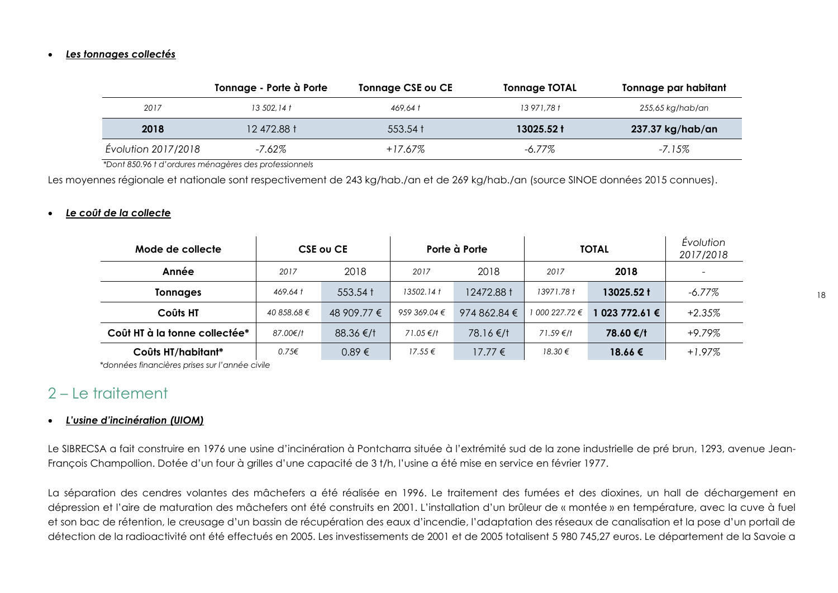#### <span id="page-17-0"></span>*Les tonnages collectés*

|                     | Tonnage - Porte à Porte | <b>Tonnage CSE ou CE</b>     | <b>Tonnage TOTAL</b> | Tonnage par habitant |
|---------------------|-------------------------|------------------------------|----------------------|----------------------|
| 2017                | 13 502.14 t             | 469.64 t                     | 13 971.78 t          | 255,65 kg/hab/an     |
| 2018                | 12 472.88 t             | $553.54 \text{ }^{\text{+}}$ | 13025.52 t           | 237.37 kg/hab/an     |
| Évolution 2017/2018 | -7.62%                  | $+17.67\%$                   | -6.77%               | -7.15%               |

 *\*Dont 850.96 t d'ordures ménagères des professionnels*

Les moyennes régionale et nationale sont respectivement de 243 kg/hab./an et de 269 kg/hab./an (source SINOE données 2015 connues).

#### <span id="page-17-1"></span>*Le coût de la collecte*

| Mode de collecte              | <b>CSE OU CE</b>  |                    |              | Porte à Porte         | <b>TOTAL</b>   |              | <b>Évolution</b><br>2017/2018 |
|-------------------------------|-------------------|--------------------|--------------|-----------------------|----------------|--------------|-------------------------------|
| Année                         | 2017              | 2018               | 2017         | 2018                  | 2017           | 2018         | $\overline{\phantom{0}}$      |
| <b>Tonnages</b>               | 469.64 t          | $553.54 \text{ t}$ | 13502.14 t   | 12472.88 t            | 13971.78 t     | 13025.52 t   | -6.77%                        |
| Coûts HT                      | 40 858.68 €       | 48 909.77 €        | 959 369.04 € | 974 862.84 $\epsilon$ | 1 000 227.72 € | 023 772.61 € | $+2.35%$                      |
| Coût HT à la tonne collectée* | 87.00€/†          | $88.36 \text{€/}1$ | 71.05 €/f    | 78.16 €/†             | 71.59 €/†      | 78.60 €/t    | $+9.79%$                      |
| Coûts HT/habitant*            | $0.75\varepsilon$ | 0.89€              | $17.55 \in$  | 17.77 €               | $18.30 \in$    | 18.66€       | $+1.97\%$                     |

*\*données financières prises sur l'année civile*

### <span id="page-17-2"></span>2 – Le traitement

#### <span id="page-17-3"></span>*L'usine d'incinération (UIOM)*

Le SIBRECSA a fait construire en 1976 une usine d'incinération à Pontcharra située à l'extrémité sud de la zone industrielle de pré brun, 1293, avenue Jean-François Champollion. Dotée d'un four à grilles d'une capacité de 3 t/h, l'usine a été mise en service en février 1977.

La séparation des cendres volantes des mâchefers a été réalisée en 1996. Le traitement des fumées et des dioxines, un hall de déchargement en dépression et l'aire de maturation des mâchefers ont été construits en 2001. L'installation d'un brûleur de « montée » en température, avec la cuve à fuel et son bac de rétention, le creusage d'un bassin de récupération des eaux d'incendie, l'adaptation des réseaux de canalisation et la pose d'un portail de détection de la radioactivité ont été effectués en 2005. Les investissements de 2001 et de 2005 totalisent 5 980 745,27 euros. Le département de la Savoie a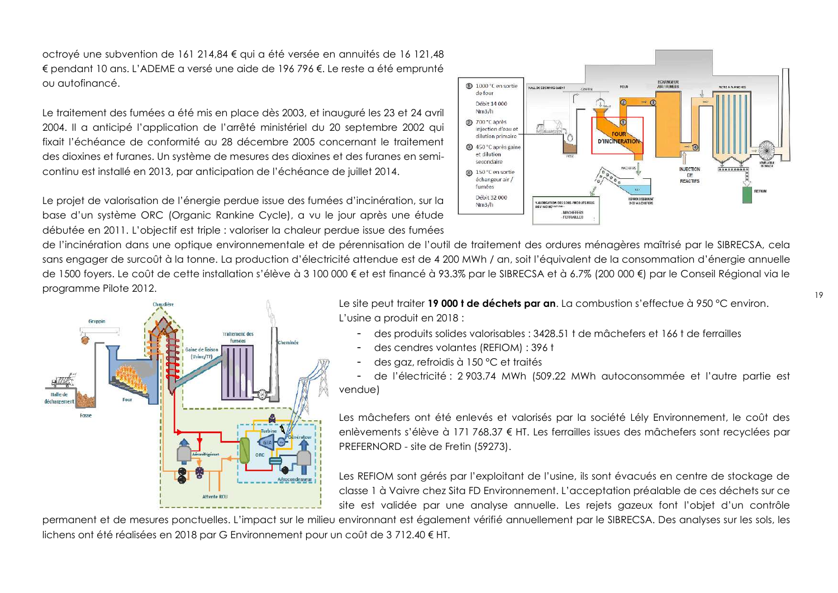octroyé une subvention de 161 214,84 € qui a été versée en annuités de 16 121,48 € pendant 10 ans. L'ADEME a versé une aide de 196 796 €. Le reste a été emprunté ou autofinancé.

Le traitement des fumées a été mis en place dès 2003, et inauguré les 23 et 24 avril 2004. Il a anticipé l'application de l'arrêté ministériel du 20 septembre 2002 qui fixait l'échéance de conformité au 28 décembre 2005 concernant le traitement des dioxines et furanes. Un système de mesures des dioxines et des furanes en semicontinu est installé en 2013, par anticipation de l'échéance de juillet 2014.

Le projet de valorisation de l'énergie perdue issue des fumées d'incinération, sur la base d'un système ORC (Organic Rankine Cycle), a vu le jour après une étude débutée en 2011. L'objectif est triple : valoriser la chaleur perdue issue des fumées

de l'incinération dans une optique environnementale et de pérennisation de l'outil de traitement des ordures ménagères maîtrisé par le SIBRECSA, cela sans engager de surcoût à la tonne. La production d'électricité attendue est de 4 200 MWh / an, soit l'équivalent de la consommation d'énergie annuelle de 1500 foyers. Le coût de cette installation s'élève à 3 100 000 € et est financé à 93.3% par le SIBRECSA et à 6.7% (200 000 €) par le Conseil Régional via le programme Pilote 2012.



Le site peut traiter **19 000 t de déchets par an**. La combustion s'effectue à 950 °C environ. L'usine a produit en 2018 :

- des produits solides valorisables : 3428.51 t de mâchefers et 166 t de ferrailles
- des cendres volantes (REFIOM) : 396 t
- des gaz, refroidis à 150 °C et traités

- de l'électricité : 2 903.74 MWh (509.22 MWh autoconsommée et l'autre partie est vendue)

Les mâchefers ont été enlevés et valorisés par la société Lély Environnement, le coût des enlèvements s'élève à 171 768.37 € HT. Les ferrailles issues des mâchefers sont recyclées par PREFERNORD - site de Fretin (59273).

Les REFIOM sont gérés par l'exploitant de l'usine, ils sont évacués en centre de stockage de classe 1 à Vaivre chez Sita FD Environnement. L'acceptation préalable de ces déchets sur ce site est validée par une analyse annuelle. Les rejets gazeux font l'objet d'un contrôle

permanent et de mesures ponctuelles. L'impact sur le milieu environnant est également vérifié annuellement par le SIBRECSA. Des analyses sur les sols, les lichens ont été réalisées en 2018 par G Environnement pour un coût de 3 712.40 € HT.

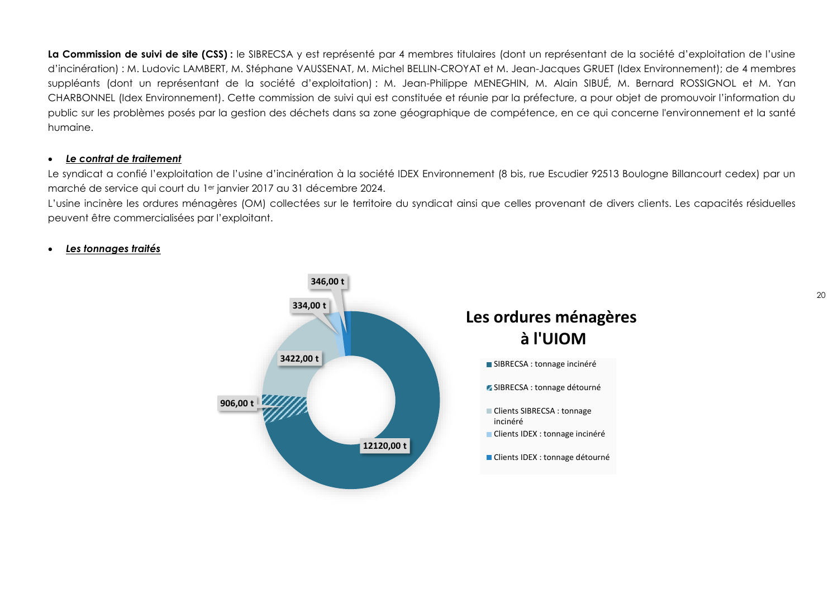La Commission de suivi de site (CSS) : le SIBRECSA y est représenté par 4 membres titulaires (dont un représentant de la société d'exploitation de l'usine d'incinération) : M. Ludovic LAMBERT, M. Stéphane VAUSSENAT, M. Michel BELLIN-CROYAT et M. Jean-Jacques GRUET (Idex Environnement); de 4 membres suppléants (dont un représentant de la société d'exploitation) : M. Jean-Philippe MENEGHIN, M. Alain SIBUÉ, M. Bernard ROSSIGNOL et M. Yan CHARBONNEL (Idex Environnement). Cette commission de suivi qui est constituée et réunie par la préfecture, a pour objet de promouvoir l'information du public sur les problèmes posés par la gestion des déchets dans sa zone géographique de compétence, en ce qui concerne l'environnement et la santé humaine.

#### <span id="page-19-0"></span>*Le contrat de traitement*

Le syndicat a confié l'exploitation de l'usine d'incinération à la société IDEX Environnement (8 bis, rue Escudier 92513 Boulogne Billancourt cedex) par un marché de service qui court du 1er janvier 2017 au 31 décembre 2024.

L'usine incinère les ordures ménagères (OM) collectées sur le territoire du syndicat ainsi que celles provenant de divers clients. Les capacités résiduelles peuvent être commercialisées par l'exploitant.

#### <span id="page-19-1"></span>*Les tonnages traités*

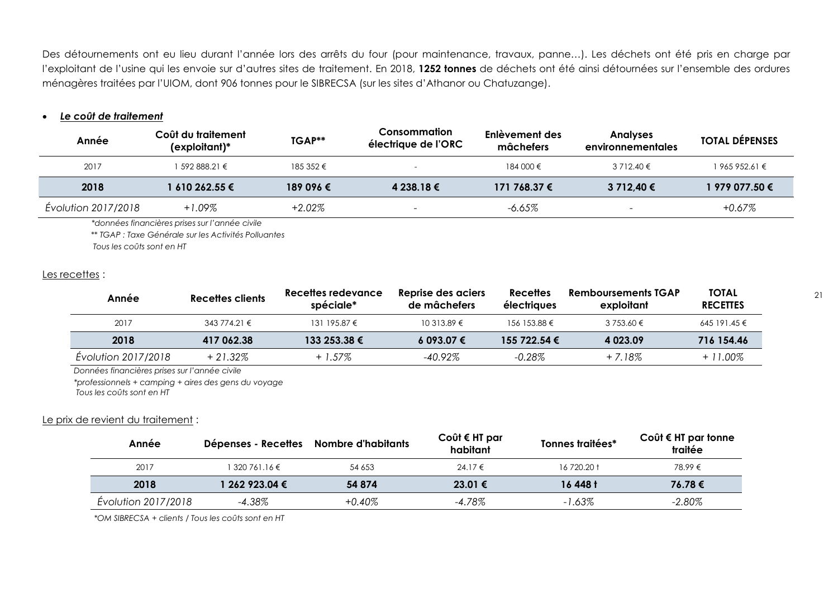Des détournements ont eu lieu durant l'année lors des arrêts du four (pour maintenance, travaux, panne…). Les déchets ont été pris en charge par l'exploitant de l'usine qui les envoie sur d'autres sites de traitement. En 2018, **1252 tonnes** de déchets ont été ainsi détournées sur l'ensemble des ordures ménagères traitées par l'UIOM, dont 906 tonnes pour le SIBRECSA (sur les sites d'Athanor ou Chatuzange).

#### <span id="page-20-0"></span>*Le coût de traitement*

| Année               | Coût du traitement<br>$(explotitant)*$ | TGAP**    | Consommation<br>électrique de l'ORC | Enlèvement des<br>mâchefers | <b>Anglyses</b><br>environnementales | <b>TOTAL DEPENSES</b> |
|---------------------|----------------------------------------|-----------|-------------------------------------|-----------------------------|--------------------------------------|-----------------------|
| 2017                | 1 592 888.21 €                         | 185 352 € |                                     | 184 000 €                   | $3712.40 \in$                        | $1965952.61 \in$      |
| 2018                | l 610 262.55 €                         | 189 096 € | 4 238.18 €                          | 171 768.37 €                | 3 712.40 €                           | 1 979 077.50 €        |
| Evolution 2017/2018 | $+1.09\%$                              | $+2.02%$  | $\overline{\phantom{a}}$            | $-6.65\%$                   |                                      | +0.67%                |

*\*données financières prises sur l'année civile*

 *\*\* TGAP : Taxe Générale sur les Activités Polluantes*

 *Tous les coûts sont en HT*

#### Les recettes :

| Année               | Recettes clients | Recettes redevance<br>spéciale* | Reprise des aciers<br>de mâchefers | <b>Recettes</b><br>électriques | <b>Remboursements TGAP</b><br>exploitant | <b>TOTAL</b><br><b>RECETTES</b> |
|---------------------|------------------|---------------------------------|------------------------------------|--------------------------------|------------------------------------------|---------------------------------|
| 2017                | $343774.21 \in$  | 131 195.87 $\epsilon$           | $10.313.89 \in$                    | 156 153.88 €                   | 3 753.60 €                               | 645 191.45 €                    |
| 2018                | 417 062.38       | $133253.38 \t∈$                 | 6093.07€                           | 155 722.54 €                   | 4 0 23.09                                | 716 154.46                      |
| Évolution 2017/2018 | $+21.32\%$       | + 1.57%                         | -40.92%                            | $-0.28\%$                      | $+7.18%$                                 | $+11.00\%$                      |

*Données financières prises sur l'année civile*

*\*professionnels + camping + aires des gens du voyage Tous les coûts sont en HT*

#### Le prix de revient du traitement :

| Année               | Dépenses - Recettes | Nombre d'habitants | Coût € HT par<br>habitant | Tonnes traitées* | Coût $\epsilon$ HT par tonne<br>traitée |
|---------------------|---------------------|--------------------|---------------------------|------------------|-----------------------------------------|
| 2017                | $320761.16 \in$     | 54 653             | 24.17 €                   | 16 720.20 t      | 78.99 €                                 |
| 2018                | 1 262 923.04 €      | 54 874             | $23.01 \in$               | 16 448 t         | 76.78€                                  |
| Evolution 2017/2018 | $-4.38\%$           | $+0.40\%$          | $-4.78\%$                 | $-1.63\%$        | $-2.80\%$                               |

*\*OM SIBRECSA + clients / Tous les coûts sont en HT*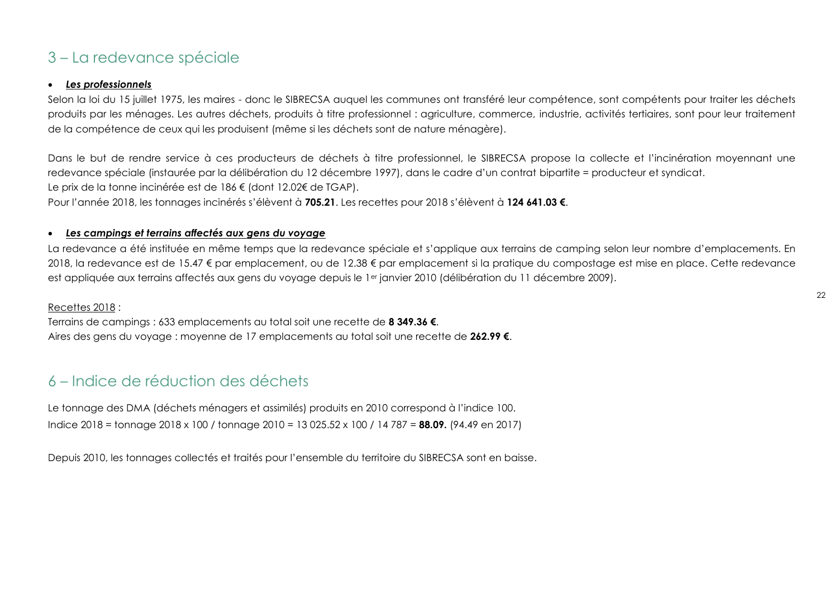## <span id="page-21-0"></span>3 – La redevance spéciale

#### <span id="page-21-1"></span>*Les professionnels*

Selon la loi du 15 juillet 1975, les maires - donc le SIBRECSA auquel les communes ont transféré leur compétence, sont compétents pour traiter les déchets produits par les ménages. Les autres déchets, produits à titre professionnel : agriculture, commerce, industrie, activités tertiaires, sont pour leur traitement de la compétence de ceux qui les produisent (même si les déchets sont de nature ménagère).

Dans le but de rendre service à ces producteurs de déchets à titre professionnel, le SIBRECSA propose la collecte et l'incinération moyennant une redevance spéciale (instaurée par la délibération du 12 décembre 1997), dans le cadre d'un contrat bipartite = producteur et syndicat. Le prix de la tonne incinérée est de 186 € (dont 12.02€ de TGAP).

Pour l'année 2018, les tonnages incinérés s'élèvent à **705.21**. Les recettes pour 2018 s'élèvent à **124 641.03 €**.

#### <span id="page-21-2"></span>*Les campings et terrains affectés aux gens du voyage*

La redevance a été instituée en même temps que la redevance spéciale et s'applique aux terrains de camping selon leur nombre d'emplacements. En 2018, la redevance est de 15.47 € par emplacement, ou de 12.38 € par emplacement si la pratique du compostage est mise en place. Cette redevance est appliquée aux terrains affectés aux gens du voyage depuis le 1<sup>er</sup> janvier 2010 (délibération du 11 décembre 2009).

#### Recettes 2018 :

Terrains de campings : 633 emplacements au total soit une recette de **8 349.36 €**. Aires des gens du voyage : moyenne de 17 emplacements au total soit une recette de **262.99 €**.

## <span id="page-21-3"></span>6 – Indice de réduction des déchets

Le tonnage des DMA (déchets ménagers et assimilés) produits en 2010 correspond à l'indice 100. Indice 2018 = tonnage 2018 x 100 / tonnage 2010 = 13 025.52 x 100 / 14 787 = **88.09.** (94.49 en 2017)

Depuis 2010, les tonnages collectés et traités pour l'ensemble du territoire du SIBRECSA sont en baisse.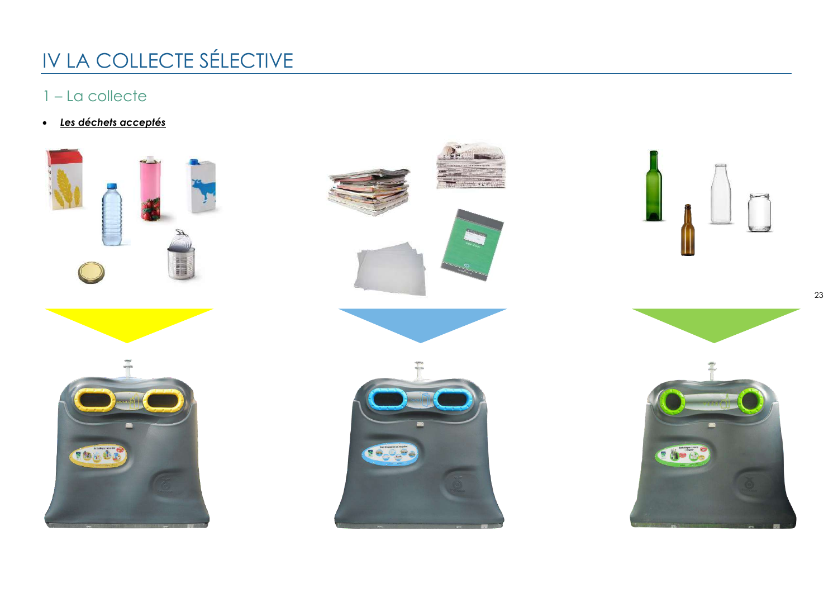# <span id="page-22-0"></span>IV LA COLLECTE SÉLECTIVE

## <span id="page-22-1"></span>1 – La collecte

<span id="page-22-2"></span>*Les déchets acceptés*











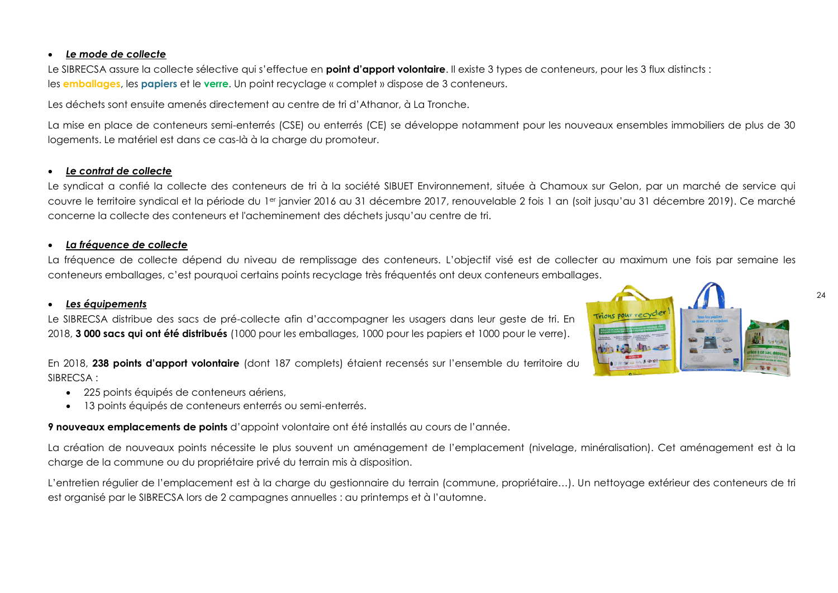#### <span id="page-23-0"></span>*Le mode de collecte*

Le SIBRECSA assure la collecte sélective qui s'effectue en **point d'apport volontaire**. Il existe 3 types de conteneurs, pour les 3 flux distincts : les **emballages**, les **papiers** et le **verre**. Un point recyclage « complet » dispose de 3 conteneurs.

Les déchets sont ensuite amenés directement au centre de tri d'Athanor, à La Tronche.

La mise en place de conteneurs semi-enterrés (CSE) ou enterrés (CE) se développe notamment pour les nouveaux ensembles immobiliers de plus de 30 logements. Le matériel est dans ce cas-là à la charge du promoteur.

#### <span id="page-23-1"></span>*Le contrat de collecte*

Le syndicat a confié la collecte des conteneurs de tri à la société SIBUET Environnement, située à Chamoux sur Gelon, par un marché de service qui couvre le territoire syndical et la période du 1er janvier 2016 au 31 décembre 2017, renouvelable 2 fois 1 an (soit jusqu'au 31 décembre 2019). Ce marché concerne la collecte des conteneurs et l'acheminement des déchets jusqu'au centre de tri.

#### <span id="page-23-2"></span>*La fréquence de collecte*

La fréquence de collecte dépend du niveau de remplissage des conteneurs. L'objectif visé est de collecter au maximum une fois par semaine les conteneurs emballages, c'est pourquoi certains points recyclage très fréquentés ont deux conteneurs emballages.

#### <span id="page-23-3"></span>*Les équipements*



Le SIBRECSA distribue des sacs de pré-collecte afin d'accompagner les usagers dans leur geste de tri. En 2018, **3 000 sacs qui ont été distribués** (1000 pour les emballages, 1000 pour les papiers et 1000 pour le verre).

En 2018, **238 points d'apport volontaire** (dont 187 complets) étaient recensés sur l'ensemble du territoire du SIBRECSA :

- $\bullet$  225 points équipés de conteneurs gériens,
- 13 points équipés de conteneurs enterrés ou semi-enterrés.

**9 nouveaux emplacements de points** d'appoint volontaire ont été installés au cours de l'année.

La création de nouveaux points nécessite le plus souvent un aménagement de l'emplacement (nivelage, minéralisation). Cet aménagement est à la charge de la commune ou du propriétaire privé du terrain mis à disposition.

L'entretien régulier de l'emplacement est à la charge du gestionnaire du terrain (commune, propriétaire…). Un nettoyage extérieur des conteneurs de tri est organisé par le SIBRECSA lors de 2 campagnes annuelles : au printemps et à l'automne.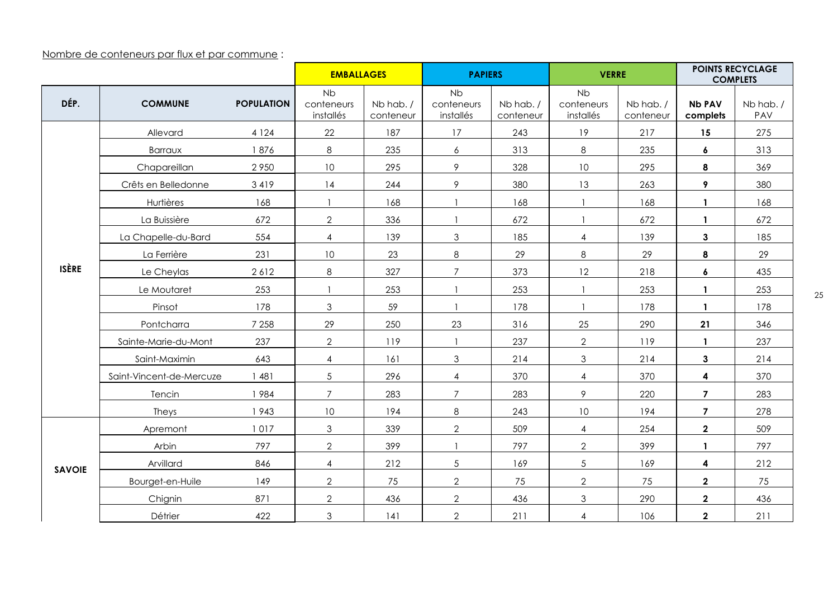Nombre de conteneurs par flux et par commune :

|               |                          |                   | <b>EMBALLAGES</b>                    |                       | <b>PAPIERS</b>                       |                       | <b>VERRE</b>                         |                        |                           |                  |  | <b>POINTS RECYCLAGE</b><br><b>COMPLETS</b> |
|---------------|--------------------------|-------------------|--------------------------------------|-----------------------|--------------------------------------|-----------------------|--------------------------------------|------------------------|---------------------------|------------------|--|--------------------------------------------|
| DÉP.          | <b>COMMUNE</b>           | <b>POPULATION</b> | <b>Nb</b><br>conteneurs<br>installés | Nb hab./<br>conteneur | <b>Nb</b><br>conteneurs<br>installés | Nb hab./<br>conteneur | <b>Nb</b><br>conteneurs<br>installés | Nb hab. /<br>conteneur | <b>Nb PAV</b><br>complets | Nb hab. /<br>PAV |  |                                            |
|               | Allevard                 | 4 1 2 4           | 22                                   | 187                   | 17                                   | 243                   | 19                                   | 217                    | 15                        | 275              |  |                                            |
|               | <b>Barraux</b>           | 1876              | 8                                    | 235                   | 6                                    | 313                   | 8                                    | 235                    | 6                         | 313              |  |                                            |
|               | Chapareillan             | 2950              | 10                                   | 295                   | 9                                    | 328                   | $10\,$                               | 295                    | 8                         | 369              |  |                                            |
|               | Crêts en Belledonne      | 3419              | 14                                   | 244                   | 9                                    | 380                   | 13                                   | 263                    | 9                         | 380              |  |                                            |
|               | Hurtières                | 168               | $\overline{1}$                       | 168                   |                                      | 168                   |                                      | 168                    | $\mathbf{1}$              | 168              |  |                                            |
|               | La Buissière             | 672               | $\mathbf{2}$                         | 336                   |                                      | 672                   |                                      | 672                    | $\mathbf{1}$              | 672              |  |                                            |
|               | La Chapelle-du-Bard      | 554               | 4                                    | 139                   | 3                                    | 185                   | $\overline{4}$                       | 139                    | $\mathbf{3}$              | 185              |  |                                            |
| <b>ISÈRE</b>  | La Ferrière              | 231               | 10                                   | 23                    | 8                                    | 29                    | 8                                    | 29                     | 8                         | 29               |  |                                            |
|               | Le Cheylas               | 2612              | $\,8\,$                              | 327                   | $\overline{7}$                       | 373                   | 12                                   | 218                    | 6                         | 435              |  |                                            |
|               | Le Moutaret              | 253               | $\overline{1}$                       | 253                   | $\mathbf{1}$                         | 253                   |                                      | 253                    | $\mathbf{1}$              | 253              |  |                                            |
|               | Pinsot                   | 178               | 3                                    | 59                    |                                      | 178                   |                                      | 178                    | $\mathbf{1}$              | 178              |  |                                            |
|               | Pontcharra               | 7 2 5 8           | 29                                   | 250                   | 23                                   | 316                   | 25                                   | 290                    | 21                        | 346              |  |                                            |
|               | Sainte-Marie-du-Mont     | 237               | $\overline{2}$                       | 119                   | $\mathbf{1}$                         | 237                   | $\overline{2}$                       | 119                    | $\mathbf{1}$              | 237              |  |                                            |
|               | Saint-Maximin            | 643               | $\overline{4}$                       | 161                   | 3                                    | 214                   | $\mathfrak{Z}$                       | 214                    | $\mathbf{3}$              | 214              |  |                                            |
|               | Saint-Vincent-de-Mercuze | 1481              | 5                                    | 296                   | $\overline{4}$                       | 370                   | $\overline{4}$                       | 370                    | 4                         | 370              |  |                                            |
|               | Tencin                   | 1984              | $\overline{7}$                       | 283                   | $\overline{7}$                       | 283                   | 9                                    | 220                    | $\overline{7}$            | 283              |  |                                            |
|               | Theys                    | 1943              | 10                                   | 194                   | 8                                    | 243                   | $10\,$                               | 194                    | $\overline{\mathbf{z}}$   | 278              |  |                                            |
|               | Apremont                 | 1017              | $\mathfrak{Z}$                       | 339                   | $\overline{2}$                       | 509                   | $\overline{4}$                       | 254                    | $\mathbf{2}$              | 509              |  |                                            |
|               | Arbin                    | 797               | $\overline{2}$                       | 399                   | $\mathbf{1}$                         | 797                   | $\overline{2}$                       | 399                    | $\mathbf{1}$              | 797              |  |                                            |
| <b>SAVOIE</b> | Arvillard                | 846               | 4                                    | 212                   | 5                                    | 169                   | $5\phantom{.0}$                      | 169                    | 4                         | 212              |  |                                            |
|               | Bourget-en-Huile         | 149               | $\overline{2}$                       | 75                    | $\overline{2}$                       | 75                    | $\overline{2}$                       | 75                     | $\mathbf{2}$              | 75               |  |                                            |
|               | Chignin                  | 871               | $\mathbf{2}$                         | 436                   | $\overline{2}$                       | 436                   | 3                                    | 290                    | $\mathbf{2}$              | 436              |  |                                            |
|               | Détrier                  | 422               | 3                                    | 141                   | $\overline{2}$                       | 211                   | $\overline{4}$                       | 106                    | $\mathbf{2}$              | 211              |  |                                            |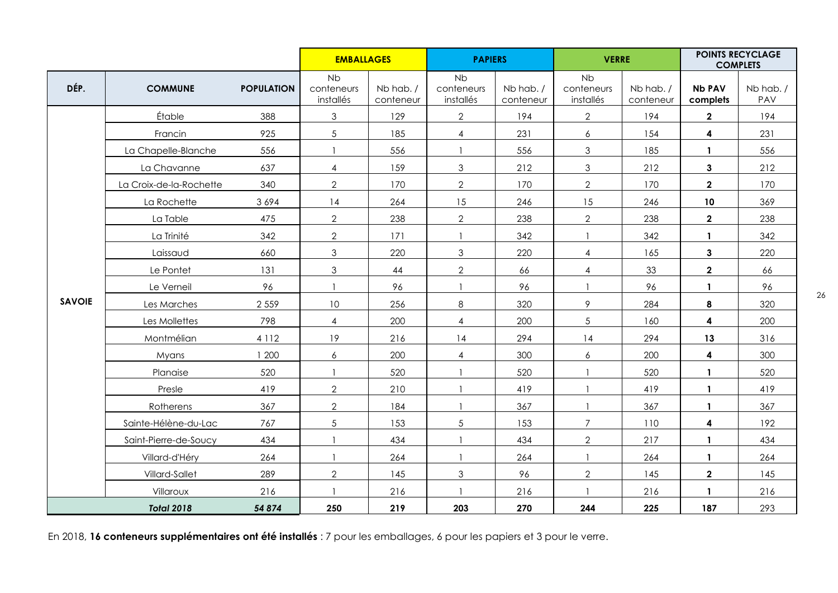|               |                         |                   | <b>EMBALLAGES</b>                    |                       | <b>PAPIERS</b>                |                       | <b>VERRE</b>                         |                       | <b>POINTS RECYCLAGE</b><br><b>COMPLETS</b> |                 |
|---------------|-------------------------|-------------------|--------------------------------------|-----------------------|-------------------------------|-----------------------|--------------------------------------|-----------------------|--------------------------------------------|-----------------|
| DÉP.          | <b>COMMUNE</b>          | <b>POPULATION</b> | <b>Nb</b><br>conteneurs<br>installés | Nb hab./<br>conteneur | Nb<br>conteneurs<br>installés | Nb hab./<br>conteneur | <b>Nb</b><br>conteneurs<br>installés | Nb hab./<br>conteneur | <b>Nb PAV</b><br>complets                  | Nb hab./<br>PAV |
|               | Étable                  | 388               | $\mathfrak 3$                        | 129                   | $\overline{2}$                | 194                   | $\overline{2}$                       | 194                   | $\mathbf{2}$                               | 194             |
|               | Francin                 | 925               | 5                                    | 185                   | $\overline{4}$                | 231                   | $\epsilon$                           | 154                   | $\boldsymbol{4}$                           | 231             |
|               | La Chapelle-Blanche     | 556               | $\mathbf{1}$                         | 556                   |                               | 556                   | $\mathfrak{Z}$                       | 185                   | $\mathbf{1}$                               | 556             |
|               | La Chavanne             | 637               | 4                                    | 159                   | $\mathfrak{S}$                | 212                   | $\mathfrak{S}$                       | 212                   | $\mathbf{3}$                               | 212             |
|               | La Croix-de-la-Rochette | 340               | $\overline{2}$                       | 170                   | $\overline{2}$                | 170                   | $\overline{2}$                       | 170                   | $\overline{2}$                             | 170             |
|               | La Rochette             | 3694              | 14                                   | 264                   | 15                            | 246                   | 15                                   | 246                   | 10                                         | 369             |
|               | La Table                | 475               | $\overline{2}$                       | 238                   | $\overline{2}$                | 238                   | $\overline{2}$                       | 238                   | $\overline{2}$                             | 238             |
|               | La Trinité              | 342               | $\overline{2}$                       | 171                   | $\mathbf{1}$                  | 342                   | $\overline{1}$                       | 342                   | $\mathbf{1}$                               | 342             |
|               | Laissaud                | 660               | 3                                    | 220                   | 3                             | 220                   | $\overline{4}$                       | 165                   | $\mathbf{3}$                               | 220             |
|               | Le Pontet               | 131               | 3                                    | 44                    | $\overline{2}$                | 66                    | $\overline{4}$                       | 33                    | $\overline{\mathbf{2}}$                    | 66              |
|               | Le Verneil              | 96                | $\mathbf{1}$                         | 96                    |                               | 96                    |                                      | 96                    | $\mathbf{1}$                               | 96              |
| <b>SAVOIE</b> | Les Marches             | 2 5 5 9           | 10                                   | 256                   | 8                             | 320                   | 9                                    | 284                   | 8                                          | 320             |
|               | Les Mollettes           | 798               | $\overline{4}$                       | 200                   | $\overline{4}$                | 200                   | $\sqrt{5}$                           | 160                   | 4                                          | 200             |
|               | Montmélian              | 4 1 1 2           | 19                                   | 216                   | 14                            | 294                   | 14                                   | 294                   | 13                                         | 316             |
|               | Myans                   | 1 200             | 6                                    | 200                   | $\overline{4}$                | 300                   | 6                                    | 200                   | $\overline{\mathbf{4}}$                    | 300             |
|               | Planaise                | 520               | $\overline{1}$                       | 520                   |                               | 520                   |                                      | 520                   | $\mathbf{1}$                               | 520             |
|               | Presle                  | 419               | $\overline{2}$                       | 210                   |                               | 419                   | $\overline{1}$                       | 419                   | $\mathbf{1}$                               | 419             |
|               | Rotherens               | 367               | $\overline{2}$                       | 184                   |                               | 367                   |                                      | 367                   | $\mathbf{1}$                               | 367             |
|               | Sainte-Hélène-du-Lac    | 767               | 5                                    | 153                   | 5                             | 153                   | $\overline{7}$                       | 110                   | $\overline{\mathbf{4}}$                    | 192             |
|               | Saint-Pierre-de-Soucy   | 434               | $\mathbf{1}$                         | 434                   |                               | 434                   | $\overline{2}$                       | 217                   | $\mathbf{1}$                               | 434             |
|               | Villard-d'Héry          | 264               | $\mathbf{1}$                         | 264                   | $\mathbf{1}$                  | 264                   | $\overline{\phantom{a}}$             | 264                   | $\mathbf{1}$                               | 264             |
|               | Villard-Sallet          | 289               | $\overline{2}$                       | 145                   | $\mathfrak{S}$                | 96                    | $\overline{2}$                       | 145                   | $\mathbf{2}$                               | 145             |
|               | Villaroux               | 216               | $\mathbf{1}$                         | 216                   |                               | 216                   |                                      | 216                   | $\mathbf{1}$                               | 216             |
|               | <b>Total 2018</b>       | 54 874            | 250                                  | 219                   | 203                           | 270                   | 244                                  | 225                   | 187                                        | 293             |

En 2018, **16 conteneurs supplémentaires ont été installés** : 7 pour les emballages, 6 pour les papiers et 3 pour le verre.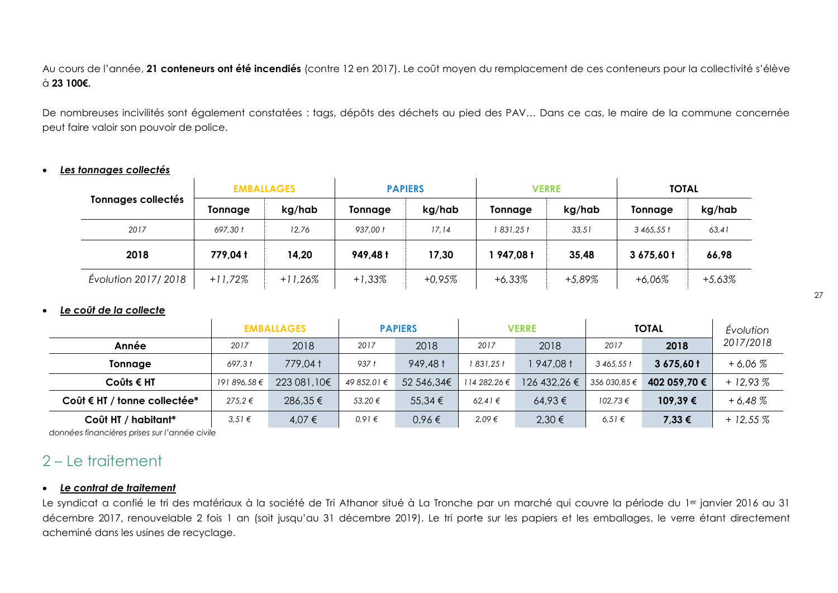Au cours de l'année, **21 conteneurs ont été incendiés** (contre 12 en 2017). Le coût moyen du remplacement de ces conteneurs pour la collectivité s'élève à **23 100€.**

De nombreuses incivilités sont également constatées : tags, dépôts des déchets au pied des PAV… Dans ce cas, le maire de la commune concernée peut faire valoir son pouvoir de police.

#### <span id="page-26-0"></span>*Les tonnages collectés*

|                           | <b>EMBALLAGES</b> |           | <b>PAPIERS</b> |          | <b>VERRE</b> |        | <b>TOTAL</b> |          |
|---------------------------|-------------------|-----------|----------------|----------|--------------|--------|--------------|----------|
| <b>Tonnages collectés</b> | Tonnage           | kg/hab    | Tonnage        | kg/hab   | Tonnage      | kg/hab | Tonnage      | kg/hab   |
| 2017                      | 697.30 t          | 12,76     | 937.00 t       | 17.14    | 831.25 t     | 33,51  | 3465.551     | 63,41    |
| 2018                      | 779,04 t          | 14,20     | 949,48 t       | 17,30    | 947,08 t     | 35,48  | 3675,60t     | 66,98    |
| Évolution 2017/2018       | $+11,72%$         | $+11,26%$ | $+1,33%$       | $+0.95%$ | $+6,33\%$    | +5,89% | +6,06%       | $+5,63%$ |

#### <span id="page-26-1"></span>*Le coût de la collecte*

|                              |              | <b>EMBALLAGES</b> | <b>PAPIERS</b> |             | <b>VERRE</b> |              | <b>TOTAL</b> |              | Evolution |
|------------------------------|--------------|-------------------|----------------|-------------|--------------|--------------|--------------|--------------|-----------|
| Année                        | 2017         | 2018              | 2017           | 2018        | 2017         | 2018         | 2017         | 2018         | 2017/2018 |
| Tonnage                      | 697,31       | 779,04 t          | 937 t          | 949,48 t    | 1 831,25 t   | 947,08 t     | 3465,551     | 3675,60 t    | $+6.06%$  |
| $Coûts \in HT$               | 191 896,58 € | 223 081,10€       | 49 852.01 €    | 52 546,34€  | 114 282,26 € | 126 432,26 € | 356 030,85 € | 402 059,70 € | $+12,93%$ |
| Coût € HT / tonne collectée* | $275.2 \in$  | 286,35€           | 53,20 €        | $55,34 \in$ | 62.41€       | $64,93 \in$  | $102,73 \in$ | 109,39€      | $+6.48\%$ |
| Coût HT / habitant*          | 3.51€        | 4,07 €            | 0,91€          | 0,96€       | 2,09€        | 2,30 €       | 6.51€        | 7,33 €       | $+12,55%$ |

<span id="page-26-2"></span> *données financières prises sur l'année civile*

## 2 – Le traitement

#### <span id="page-26-3"></span>*Le contrat de traitement*

Le syndicat a confié le tri des matériaux à la société de Tri Athanor situé à La Tronche par un marché qui couvre la période du 1<sup>er</sup> janvier 2016 au 31 décembre 2017, renouvelable 2 fois 1 an (soit jusqu'au 31 décembre 2019). Le tri porte sur les papiers et les emballages, le verre étant directement acheminé dans les usines de recyclage.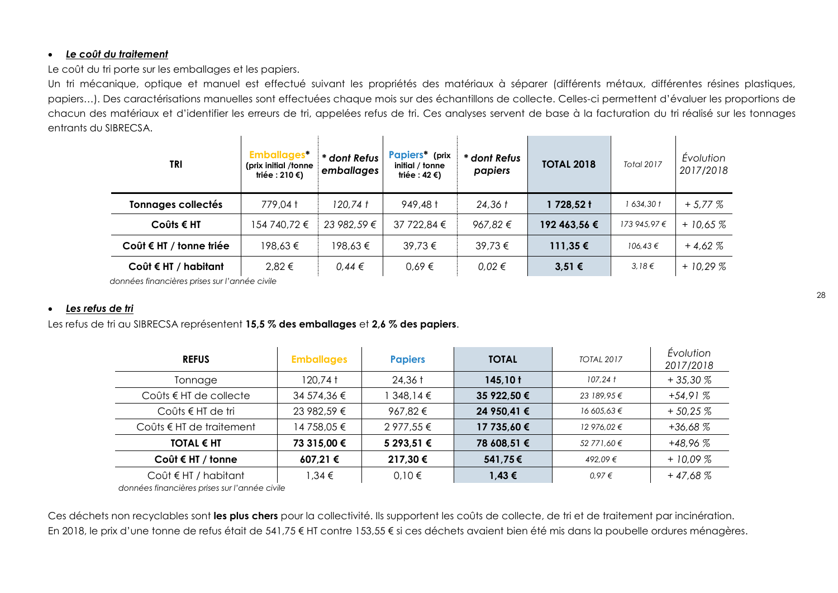#### <span id="page-27-0"></span>*Le coût du traitement*

Le coût du tri porte sur les emballages et les papiers.

Un tri mécanique, optique et manuel est effectué suivant les propriétés des matériaux à séparer (différents métaux, différentes résines plastiques, papiers…). Des caractérisations manuelles sont effectuées chaque mois sur des échantillons de collecte. Celles-ci permettent d'évaluer les proportions de chacun des matériaux et d'identifier les erreurs de tri, appelées refus de tri. Ces analyses servent de base à la facturation du tri réalisé sur les tonnages entrants du SIBRECSA.  $\mathbf{L}$ the control of the control of the control of the control of the control of  $\mathbf{u}$  $\mathbf{I}$  and  $\mathbf{I}$  are the set of  $\mathbf{I}$ 

| TRI                           | <b>Emballages*</b><br>(prix initial /tonne<br>triée : 210 €) | * dont Refus<br>emballages | Papiers* (prix<br>initial / tonne<br>triée : 42 €) | * dont Refus<br>papiers | <b>TOTAL 2018</b> | <b>Total 2017</b> | Évolution<br>2017/2018 |
|-------------------------------|--------------------------------------------------------------|----------------------------|----------------------------------------------------|-------------------------|-------------------|-------------------|------------------------|
| <b>Tonnages collectés</b>     | 779,04 t                                                     | 120,74 t                   | 949,48 t                                           | $24,36$ $t$             | 1 728,52 t        | 1 634,30 t        | $+5.77\%$              |
| $Coûts \in HT$                | 154 740,72 €                                                 | 23 982,59 €                | 37 722,84 €                                        | 967.82 €                | 192 463,56 €      | 173 945,97 €      | $+10,65%$              |
| Coût € HT / tonne triée       | 198.63€                                                      | 198,63€                    | 39,73€                                             | 39,73€                  | $111,35 \in$      | $106,43 \in$      | $+4.62%$               |
| Coût $\epsilon$ HT / habitant | 2,82 €                                                       | $0.44 \in$                 | 0.69€                                              | $0.02 \in$              | $3,51 \in$        | 3,18€             | $+10.29%$              |

 *données financières prises sur l'année civile*

#### <span id="page-27-1"></span>*Les refus de tri*

Les refus de tri au SIBRECSA représentent **15,5 % des emballages** et **2,6 % des papiers**.

| <b>REFUS</b>                      | <b>Emballages</b> | <b>Papiers</b>    | <b>TOTAL</b> | <b>TOTAL 2017</b> | Evolution<br>2017/2018 |
|-----------------------------------|-------------------|-------------------|--------------|-------------------|------------------------|
| Tonnage                           | 120,74†           | $24,36$ $\dagger$ | $145,10$ t   | $107.24 \; t$     | $+35,30%$              |
| Coûts $\epsilon$ HT de collecte   | 34 574,36 €       | 348,14€           | 35 922,50 €  | 23 189,95€        | $+54.91%$              |
| Coûts € HT de tri                 | 23 982,59 €       | 967,82€           | 24 950,41 €  | 16 605,63 €       | $+50.25%$              |
| Coûts $\epsilon$ HT de traitement | 14 758,05 €       | 2 977,55 €        | 17 735,60 €  | 12 976.02 €       | $+36,68%$              |
| <b>TOTAL € HT</b>                 | 73 315,00 €       | 5 293,51 €        | 78 608,51 €  | 52 771,60 €       | $+48,96%$              |
| Coût $\epsilon$ HT / tonne        | 607,21 €          | 217,30 €          | 541,75€      | 492.09€           | $+10.09%$              |
| Coût $\epsilon$ HT / habitant     | 1,34 €            | 0,10€             | $1,43 \in$   | 0.97€             | $+47,68%$              |

*données financières prises sur l'année civile*

Ces déchets non recyclables sont **les plus chers** pour la collectivité. Ils supportent les coûts de collecte, de tri et de traitement par incinération. En 2018, le prix d'une tonne de refus était de 541,75 € HT contre 153,55 € si ces déchets avaient bien été mis dans la poubelle ordures ménagères.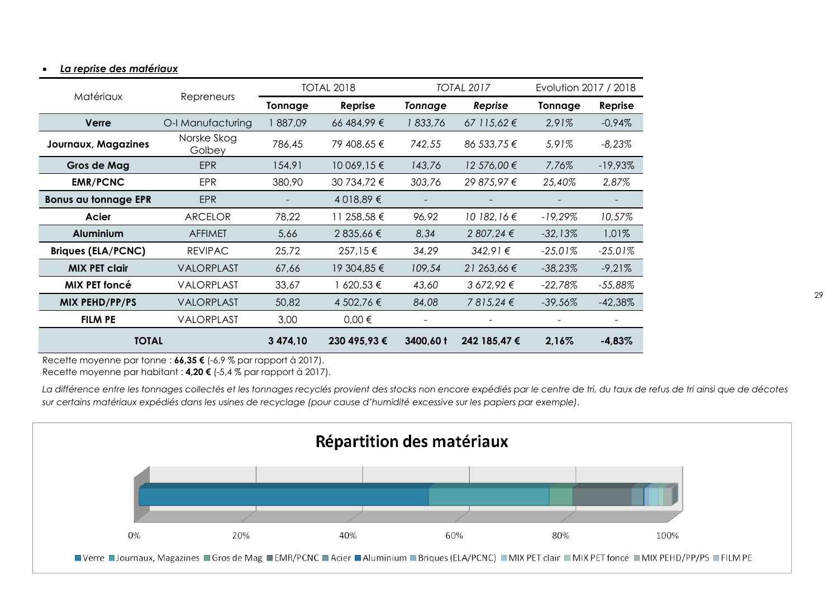|                             | Matériaux             |                | <b>TOTAL 2018</b> |                | <b>TOTAL 2017</b> |            | Evolution 2017 / 2018 |  |
|-----------------------------|-----------------------|----------------|-------------------|----------------|-------------------|------------|-----------------------|--|
|                             | Repreneurs            | <b>Tonnage</b> | Reprise           | <b>Tonnage</b> | Reprise           | Tonnage    | Reprise               |  |
| Verre                       | O-I Manufacturing     | 887,09         | 66 484,99 €       | 1833,76        | $67$ 115,62 €     | 2,91%      | $-0.94%$              |  |
| <b>Journaux, Magazines</b>  | Norske Skog<br>Golbey | 786,45         | 79 408,65 €       | 742,55         | 86 533,75 €       | 5,91%      | $-8,23%$              |  |
| Gros de Mag                 | <b>EPR</b>            | 154,91         | 10 069,15 €       | 143,76         | 12 576,00 €       | 7,76%      | $-19,93\%$            |  |
| <b>EMR/PCNC</b>             | <b>EPR</b>            | 380,90         | 30 734,72 €       | 303,76         | 29 875,97 €       | 25,40%     | 2,87%                 |  |
| <b>Bonus au tonnage EPR</b> | <b>EPR</b>            |                | 4 018,89 €        |                |                   |            |                       |  |
| Acier                       | <b>ARCELOR</b>        | 78,22          | 11 258,58 €       | 96,92          | 10 182, 16 €      | $-19,29%$  | 10,57%                |  |
| <b>Aluminium</b>            | <b>AFFIMET</b>        | 5,66           | 2 835,66 €        | 8,34           | 2 807,24 €        | $-32,13%$  | 1,01%                 |  |
| <b>Briques (ELA/PCNC)</b>   | <b>REVIPAC</b>        | 25,72          | 257,15€           | 34,29          | $342.91 \in$      | $-25,01%$  | $-25,01%$             |  |
| <b>MIX PET clair</b>        | VALORPLAST            | 67,66          | 19 304,85 €       | 109,54         | 21 263,66 €       | -38,23%    | $-9,21%$              |  |
| <b>MIX PET foncé</b>        | <b>VALORPLAST</b>     | 33,67          | 1 620,53 €        | 43,60          | $3672,92 \in$     | $-22,78\%$ | $-55,88\%$            |  |
| MIX PEHD/PP/PS              | <b>VALORPLAST</b>     | 50,82          | 4 502,76 €        | 84,08          | 7815,24€          | $-39,56%$  | $-42,38%$             |  |
| <b>FILM PE</b>              | <b>VALORPLAST</b>     | 3,00           | $0,00 \in$        |                |                   |            |                       |  |
| <b>TOTAL</b>                |                       | 3 474,10       | 230 495,93 €      | 3400,60 t      | 242 185,47 €      | 2,16%      | $-4,83%$              |  |

#### <span id="page-28-0"></span>*La reprise des matériaux*

Recette moyenne par tonne : **66,35 €** (-6,9 % par rapport à 2017).

Recette moyenne par habitant : **4,20 €** (-5,4 % par rapport à 2017).

*La différence entre les tonnages collectés et les tonnages recyclés provient des stocks non encore expédiés par le centre de tri, du taux de refus de tri ainsi que de décotes sur certains matériaux expédiés dans les usines de recyclage (pour cause d'humidité excessive sur les papiers par exemple).*

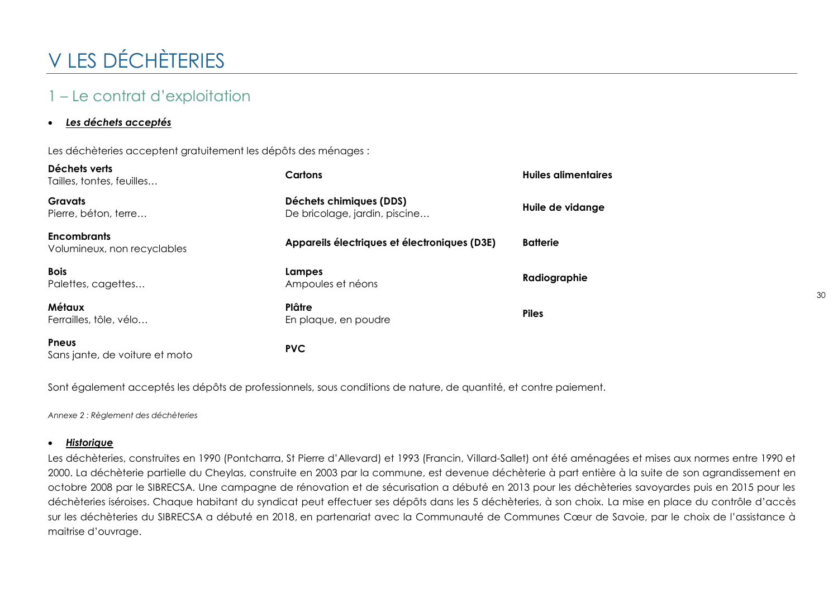# <span id="page-29-0"></span>V LES DÉCHÈTERIES

## <span id="page-29-1"></span>1 – Le contrat d'exploitation

#### <span id="page-29-2"></span>*Les déchets acceptés*

Les déchèteries acceptent gratuitement les dépôts des ménages :

| Déchets verts<br>Tailles, tontes, feuilles        | Cartons                                                  | <b>Huiles alimentaires</b> |
|---------------------------------------------------|----------------------------------------------------------|----------------------------|
| <b>Gravats</b><br>Pierre, béton, terre            | Déchets chimiques (DDS)<br>De bricolage, jardin, piscine | Huile de vidange           |
| <b>Encombrants</b><br>Volumineux, non recyclables | Appareils électriques et électroniques (D3E)             | <b>Batterie</b>            |
| <b>Bois</b><br>Palettes, cagettes                 | Lampes<br>Ampoules et néons                              | Radiographie               |
| <b>Métaux</b><br>Ferrailles, tôle, vélo           | Plâtre<br>En plaque, en poudre                           | <b>Piles</b>               |
| Pneus<br>Sans jante, de voiture et moto           | <b>PVC</b>                                               |                            |

Sont également acceptés les dépôts de professionnels, sous conditions de nature, de quantité, et contre paiement.

*Annexe 2 : Règlement des déchèteries*

#### <span id="page-29-3"></span>*Historique*

Les déchèteries, construites en 1990 (Pontcharra, St Pierre d'Allevard) et 1993 (Francin, Villard-Sallet) ont été aménagées et mises aux normes entre 1990 et 2000. La déchèterie partielle du Cheylas, construite en 2003 par la commune, est devenue déchèterie à part entière à la suite de son agrandissement en octobre 2008 par le SIBRECSA. Une campagne de rénovation et de sécurisation a débuté en 2013 pour les déchèteries savoyardes puis en 2015 pour les déchèteries iséroises. Chaque habitant du syndicat peut effectuer ses dépôts dans les 5 déchèteries, à son choix. La mise en place du contrôle d'accès sur les déchèteries du SIBRECSA a débuté en 2018, en partenariat avec la Communauté de Communes Cœur de Savoie, par le choix de l'assistance à maitrise d'ouvrage.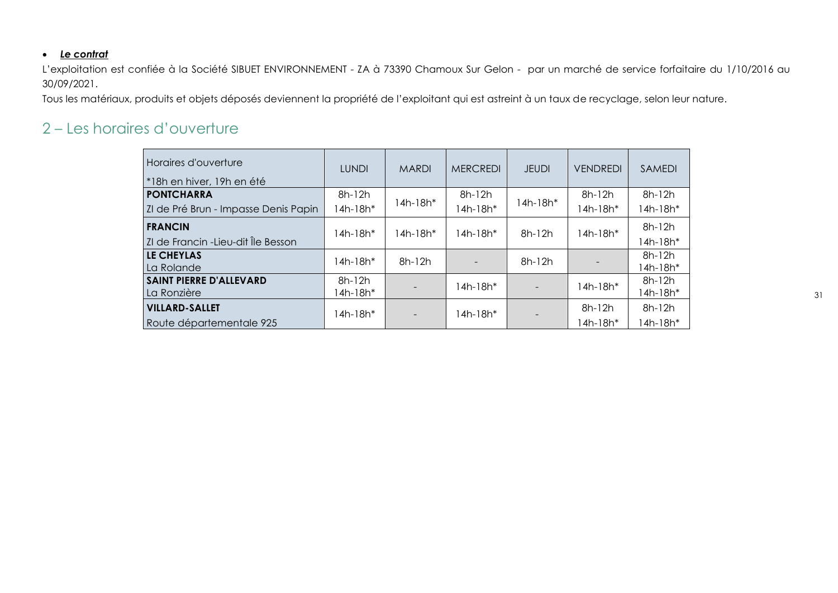#### <span id="page-30-0"></span>*Le contrat*

L'exploitation est confiée à la Société SIBUET ENVIRONNEMENT - ZA à 73390 Chamoux Sur Gelon - par un marché de service forfaitaire du 1/10/2016 au 30/09/2021.

Tous les matériaux, produits et objets déposés deviennent la propriété de l'exploitant qui est astreint à un taux de recyclage, selon leur nature.

### <span id="page-30-1"></span>2 – Les horaires d'ouverture

| Horaires d'ouverture<br><sup>*</sup> 18h en hiver, 19h en été | <b>LUNDI</b> | <b>MARDI</b> | <b>MERCREDI</b> | <b>JEUDI</b> | <b>VENDREDI</b> | <b>SAMEDI</b> |
|---------------------------------------------------------------|--------------|--------------|-----------------|--------------|-----------------|---------------|
| <b>PONTCHARRA</b>                                             | $8h-12h$     | 14h-18h*     | 8h-12h          | $14h-18h*$   | 8h-12h          | 8h-12h        |
| ZI de Pré Brun - Impasse Denis Papin                          | 14h-18h*     |              | $14h-18h*$      |              | 14h-18h*        | 14h-18h*      |
| <b>FRANCIN</b>                                                | 14h-18h*     | 14h-18h*     | $14h-18h*$      | $8h-12h$     | 14h-18h*        | 8h-12h        |
| ZI de Francin -Lieu-dit Île Besson                            |              |              |                 |              |                 | 14h-18h*      |
| LE CHEYLAS                                                    | 14h-18h*     | $8h-12h$     |                 | $8h-12h$     |                 | 8h-12h        |
| La Rolande                                                    |              |              |                 |              |                 | 14h-18h*      |
| <b>SAINT PIERRE D'ALLEVARD</b>                                | 8h-12h       |              | $14h-18h*$      |              | 14h-18h*        | 8h-12h        |
| La Ronzière                                                   | 14h-18h*     |              |                 |              |                 | 14h-18h*      |
| <b>VILLARD-SALLET</b>                                         | 14h-18h*     |              | $14h-18h*$      |              | $8h-12h$        | 8h-12h        |
| Route départementale 925                                      |              |              |                 |              | 14h-18h*        | 14h-18h*      |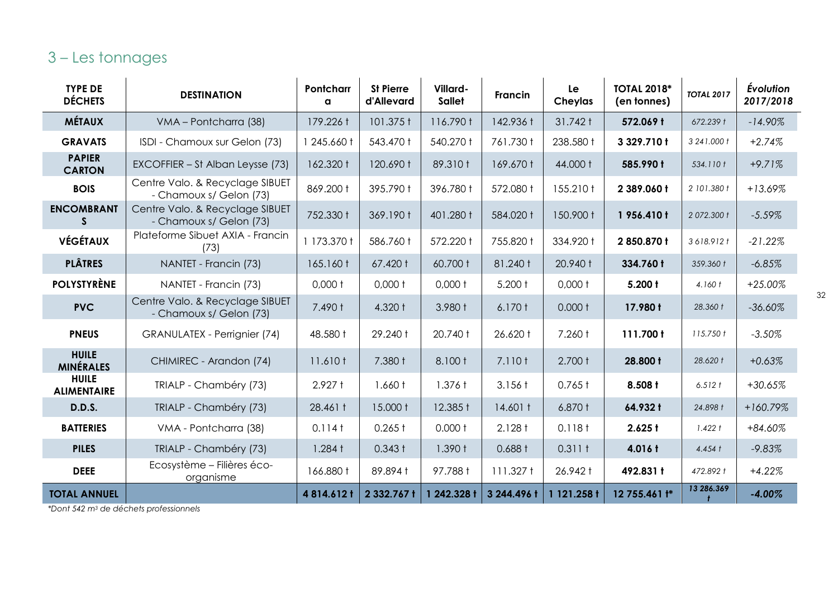## <span id="page-31-0"></span>3 – Les tonnages

| <b>TYPE DE</b><br><b>DÉCHETS</b>   | <b>DESTINATION</b>                                         | Pontcharr<br>a    | <b>St Pierre</b><br>d'Allevard | Villard-<br><b>Sallet</b> | <b>Francin</b>     | Le<br>Cheylas     | <b>TOTAL 2018*</b><br>(en tonnes) | <b>TOTAL 2017</b> | <b>Évolution</b><br>2017/2018 |
|------------------------------------|------------------------------------------------------------|-------------------|--------------------------------|---------------------------|--------------------|-------------------|-----------------------------------|-------------------|-------------------------------|
| <b>MÉTAUX</b>                      | VMA - Pontcharra (38)                                      | 179.226 t         | 101.375 t                      | 116.790 t                 | 142.936 t          | 31.742 t          | 572.069 t                         | 672.239 t         | $-14.90\%$                    |
| <b>GRAVATS</b>                     | ISDI - Chamoux sur Gelon (73)                              | 1 245.660 t       | 543.470 t                      | 540.270 t                 | 761.730 t          | 238.580 t         | 3 329.710 t                       | 3 24 1.000 t      | $+2.74%$                      |
| <b>PAPIER</b><br><b>CARTON</b>     | EXCOFFIER - St Alban Leysse (73)                           | 162.320 t         | 120.690 t                      | 89.310 t                  | 169.670 t          | 44.000 t          | 585.990 t                         | 534.110 t         | $+9.71%$                      |
| <b>BOIS</b>                        | Centre Valo. & Recyclage SIBUET<br>- Chamoux s/ Gelon (73) | 869.200 t         | 395.790 t                      | 396.780 t                 | 572.080 t          | 155.210 t         | 2 389.060 t                       | 2 101.380 f       | $+13.69%$                     |
| <b>ENCOMBRANT</b><br>S.            | Centre Valo. & Recyclage SIBUET<br>- Chamoux s/ Gelon (73) | 752.330 t         | 369.190 t                      | 401.280 t                 | 584.020 t          | 150.900 t         | 1956.410 t                        | 2 072.300 t       | $-5.59%$                      |
| <b>VÉGÉTAUX</b>                    | Plateforme Sibuet AXIA - Francin<br>(73)                   | 1 173.370 f       | 586.760 t                      | 572.220 t                 | 755.820 t          | 334.920 t         | 2850.870 t                        | 3618.912 t        | $-21.22%$                     |
| <b>PLÂTRES</b>                     | NANTET - Francin (73)                                      | 165.160 t         | 67.420 t                       | 60.700 t                  | 81.240 t           | 20.940 t          | 334.760 t                         | 359.360 t         | $-6.85%$                      |
| <b>POLYSTYRÈNE</b>                 | NANTET - Francin (73)                                      | $0,000$ t         | $0,000$ t                      | $0,000$ t                 | $5.200 +$          | $0,000$ t         | $5.200 +$                         | 4.160 t           | $+25.00%$                     |
| <b>PVC</b>                         | Centre Valo. & Recyclage SIBUET<br>- Chamoux s/ Gelon (73) | 7.490 t           | 4.320 t                        | 3.980 t                   | 6.170 <sub>†</sub> | 0.000 t           | 17.980 t                          | 28.360 t          | $-36.60%$                     |
| <b>PNEUS</b>                       | GRANULATEX - Perrignier (74)                               | 48.580 t          | 29.240 t                       | 20.740 t                  | 26.620 t           | 7.260 t           | 111.700 t                         | 115.750 t         | $-3.50%$                      |
| <b>HUILE</b><br><b>MINÉRALES</b>   | CHIMIREC - Arandon (74)                                    | 11.610 t          | 7.380 t                        | 8.100 t                   | 7.110 t            | 2.700 t           | 28.800 t                          | 28.620 t          | $+0.63%$                      |
| <b>HUILE</b><br><b>ALIMENTAIRE</b> | TRIALP - Chambéry (73)                                     | $2.927 +$         | 1.660 t                        | 1.376t                    | $3.156 \text{ t}$  | $0.765 \text{ t}$ | 8.508 t                           | 6.512 t           | $+30.65%$                     |
| <b>D.D.S.</b>                      | TRIALP - Chambéry (73)                                     | 28.461 t          | 15.000 t                       | 12.385 t                  | $14.601 \text{ t}$ | 6.870 t           | 64.932 t                          | 24.898 t          | $+160.79%$                    |
| <b>BATTERIES</b>                   | VMA - Pontcharra (38)                                      | $0.114$ t         | $0.265 \text{ t}$              | 0.000 t                   | $2.128 +$          | 0.118t            | $2.625 +$                         | 1.422 t           | +84.60%                       |
| <b>PILES</b>                       | TRIALP - Chambéry (73)                                     | $1.284 \text{ t}$ | $0.343 +$                      | 1.390 f                   | 0.688 t            | 0.311 t           | 4.016 t                           | $4.454 \; t$      | $-9.83%$                      |
| <b>DEEE</b>                        | Ecosystème - Filières éco-<br>organisme                    | 166.880 t         | 89.894 t                       | 97.788 t                  | 111.327t           | 26.942 t          | 492.831 t                         | 472.892 t         | $+4.22%$                      |
| <b>TOTAL ANNUEL</b>                |                                                            | 4814.612t         | 2 332.767 t                    | 1 242.328 t               | 3 244.496 t        | 1 121.258 t       | 12 755.461 $t^*$                  | 13 286.369        | $-4.00%$                      |

*\*Dont 542 m<sup>3</sup> de déchets professionnels*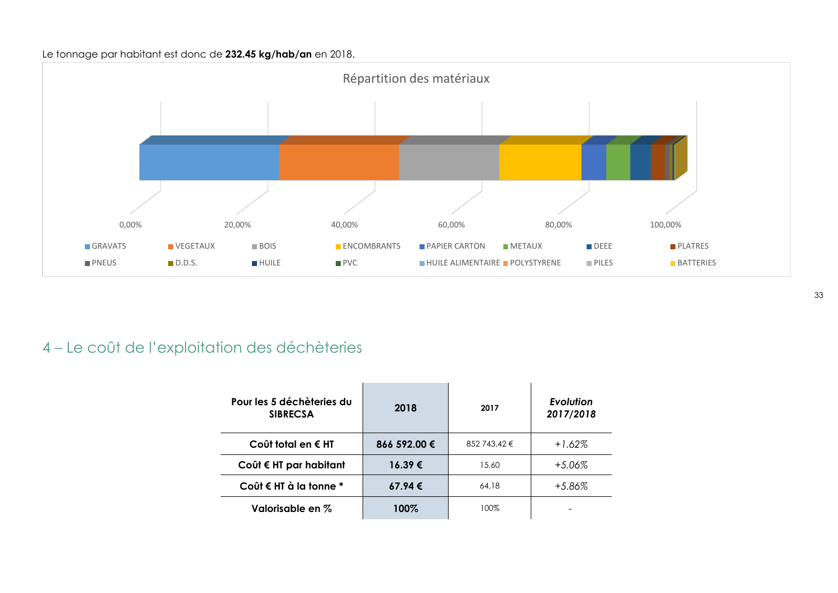#### Le tonnage par habitant est donc de **232.45 kg/hab/an** en 2018.



## <span id="page-32-0"></span>4 – Le coût de l'exploitation des déchèteries

| Pour les 5 déchèteries du<br><b>SIBRECSA</b> | 2018         | 2017         | Evolution<br>2017/2018 |
|----------------------------------------------|--------------|--------------|------------------------|
| Coût total en € HT                           | 866 592.00 € | 852 743.42 € | $+1.62%$               |
| Coût € HT par habitant                       | 16.39€       | 15.60        | $+5.06\%$              |
| Coût € HT à la tonne $*$                     | 67.94€       | 64.18        | +5.86%                 |
| Valorisable en %                             | 100%         | 100%         |                        |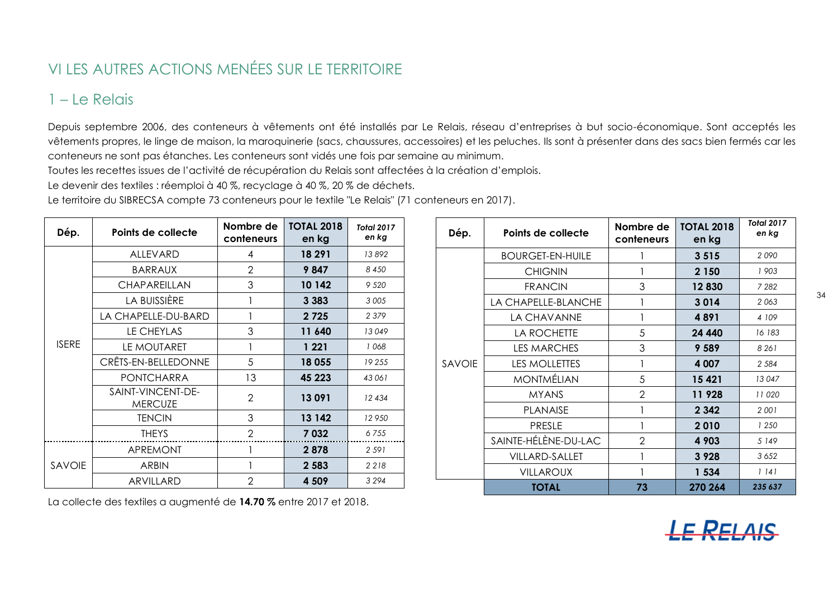## <span id="page-33-0"></span>VI LES AUTRES ACTIONS MENÉES SUR LE TERRITOIRE

## <span id="page-33-1"></span>1 – Le Relais

Depuis septembre 2006, des conteneurs à vêtements ont été installés par Le Relais, réseau d'entreprises à but socio-économique. Sont acceptés les vêtements propres, le linge de maison, la maroquinerie (sacs, chaussures, accessoires) et les peluches. Ils sont à présenter dans des sacs bien fermés car les conteneurs ne sont pas étanches. Les conteneurs sont vidés une fois par semaine au minimum.

Toutes les recettes issues de l'activité de récupération du Relais sont affectées à la création d'emplois.

Le devenir des textiles : réemploi à 40 %, recyclage à 40 %, 20 % de déchets.

Le territoire du SIBRECSA compte 73 conteneurs pour le textile "Le Relais" (71 conteneurs en 2017).

| Dép.         | Points de collecte                  | Nombre de<br>conteneurs | <b>TOTAL 2018</b><br>en kg | <b>Total 2017</b><br>en kg |
|--------------|-------------------------------------|-------------------------|----------------------------|----------------------------|
|              | <b>ALLEVARD</b>                     | $\overline{4}$          | 18 291                     | 13892                      |
|              | <b>BARRAUX</b>                      | $\overline{2}$          | 9847                       | 8 4 5 0                    |
|              | <b>CHAPAREILLAN</b>                 | 3                       | 10 142                     | 9 5 20                     |
|              | LA BUISSIÈRE                        |                         | 3 3 8 3                    | 3 0 0 5                    |
|              | LA CHAPELLE-DU-BARD                 |                         | 2725                       | 2 3 7 9                    |
|              | LE CHEYLAS                          | 3                       | 11 640                     | 13049                      |
| <b>ISERE</b> | LE MOUTARET                         |                         | 1 221                      | 1068                       |
|              | CRÊTS-EN-BELLEDONNE                 | 5                       | 18 055                     | 19255                      |
|              | <b>PONTCHARRA</b>                   | 13                      | 45 223                     | 43 061                     |
|              | SAINT-VINCENT-DE-<br><b>MERCUZE</b> | $\overline{2}$          | 13091                      | 12434                      |
|              | TENCIN                              | 3                       | 13 142                     | 12950                      |
|              | <b>THEYS</b>                        | $\overline{2}$          | 7032                       | 6755                       |
|              | <b>APREMONT</b>                     |                         | 2878                       | 2 5 9 1                    |
| SAVOIE       | <b>ARBIN</b>                        |                         | 2 5 8 3                    | 2218                       |
|              | ARVILLARD                           | $\overline{2}$          | 4 509                      | 3 2 9 4                    |

| La collecte des textiles a augmenté de 14.70 % entre 2017 et 2018. |  |
|--------------------------------------------------------------------|--|
|--------------------------------------------------------------------|--|

| Dép.          | Points de collecte      | Nombre de<br>conteneurs | <b>TOTAL 2018</b><br>en kg | <b>Total 2017</b><br>en kg |
|---------------|-------------------------|-------------------------|----------------------------|----------------------------|
|               | <b>BOURGET-EN-HUILE</b> |                         | 3515                       | 2090                       |
|               | <b>CHIGNIN</b>          | 1                       | 2 1 5 0                    | 1903                       |
|               | <b>FRANCIN</b>          | 3                       | 12830                      | 7 2 8 2                    |
|               | LA CHAPELLE-BLANCHE     | 1                       | 3014                       | 2063                       |
|               | LA CHAVANNE             | 1                       | 4891                       | 4 109                      |
|               | LA ROCHETTE             | 5                       | 24 440                     | 16 183                     |
|               | <b>LES MARCHES</b>      | 3                       | 9 589                      | 8 2 6 1                    |
| <b>SAVOIE</b> | LES MOLLETTES           | 1                       | 4 0 0 7                    | 2 5 8 4                    |
|               | <b>MONTMÉLIAN</b>       | 5                       | 15 4 21                    | 13 047                     |
|               | <b>MYANS</b>            | $\overline{2}$          | 11 928                     | 11 0 20                    |
|               | <b>PLANAISE</b>         | 1                       | 2 3 4 2                    | 2 0 0 1                    |
|               | <b>PRESLE</b>           | 1                       | 2010                       | 1250                       |
|               | SAINTE-HÉLÈNE-DU-LAC    | $\overline{2}$          | 4 903                      | 5 149                      |
|               | VILLARD-SALLET          |                         | 3 9 28                     | 3652                       |
|               | <b>VILLAROUX</b>        |                         | 1 534                      | 1141                       |
|               | <b>TOTAL</b>            | 73                      | 270 264                    | 235 637                    |

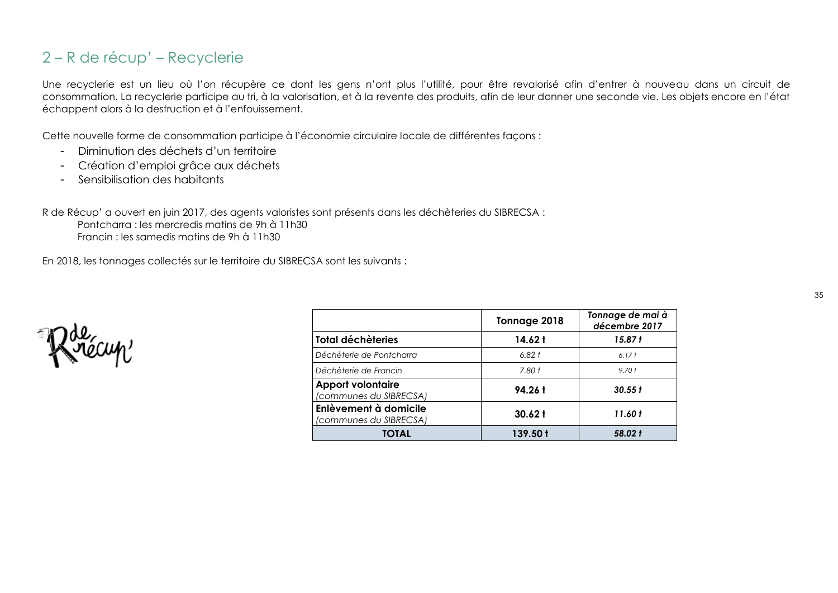### <span id="page-34-0"></span>2 – R de récup' – Recyclerie

Une recyclerie est un lieu où l'on récupère ce dont les gens n'ont plus l'utilité, pour être revalorisé afin d'entrer à nouveau dans un circuit de consommation. La recyclerie participe au tri, à la valorisation, et à la revente des produits, afin de leur donner une seconde vie. Les objets encore en l'état échappent alors à la destruction et à l'enfouissement.

Cette nouvelle forme de consommation participe à l'économie circulaire locale de différentes façons :

- Diminution des déchets d'un territoire
- Création d'emploi grâce aux déchets
- Sensibilisation des habitants

R de Récup' a ouvert en juin 2017, des agents valoristes sont présents dans les déchèteries du SIBRECSA :

Pontcharra : les mercredis matins de 9h à 11h30 Francin : les samedis matins de 9h à 11h30

En 2018, les tonnages collectés sur le territoire du SIBRECSA sont les suivants :

|                                                    | Tonnage 2018      | Tonnage de mai à<br>décembre 2017 |
|----------------------------------------------------|-------------------|-----------------------------------|
| Total déchèteries                                  | 14.62 t           | 15.87 t                           |
| Déchèterie de Pontcharra                           | 6.82 t            | 6.17 <sub>†</sub>                 |
| Déchèterie de Francin                              | 7.80 <sub>1</sub> | 9.70 <sub>0</sub>                 |
| <b>Apport volontaire</b><br>(communes du SIBRECSA) | 94.26 t           | 30.55 f                           |
| Enlèvement à domicile<br>(communes du SIBRECSA)    | $30.62 \text{ t}$ | 11.60 t                           |
| TOTAL                                              | 139.50 t          | 58.02 f                           |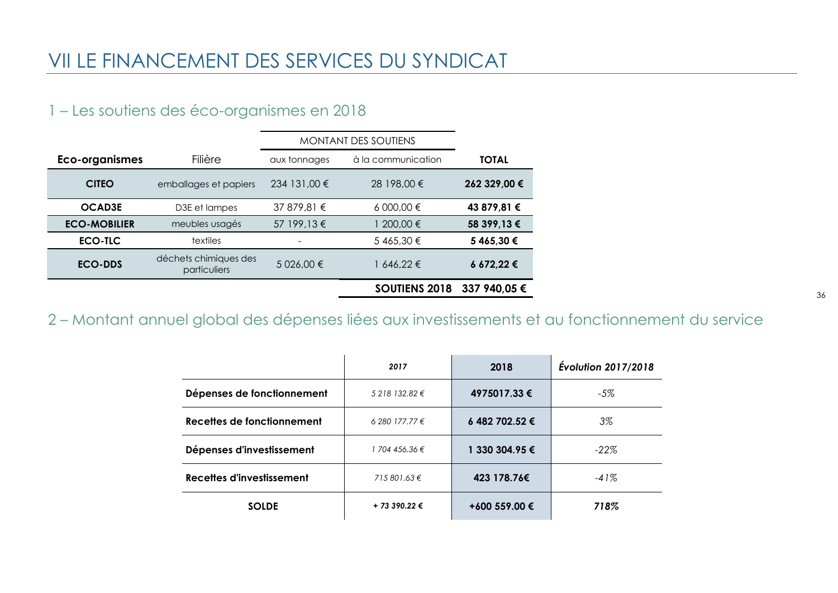## <span id="page-35-0"></span>VII LE FINANCEMENT DES SERVICES DU SYNDICAT

## <span id="page-35-1"></span>1 – Les soutiens des éco-organismes en 2018

|                     |                                       | <b>MONTANT DES SOUTIENS</b> |                      |              |
|---------------------|---------------------------------------|-----------------------------|----------------------|--------------|
| Eco-organismes      | Filière                               | aux tonnages                | à la communication   | <b>TOTAL</b> |
| <b>CITEO</b>        | emballages et papiers                 | 234 131,00 €                | 28 198,00 €          | 262 329,00 € |
| <b>OCAD3E</b>       | D3E et lampes                         | 37 879,81 €                 | 6 000,00 €           | 43 879,81 €  |
| <b>ECO-MOBILIER</b> | meubles usagés                        | 57 199,13 €                 | 200,00 €             | 58 399,13 €  |
| ECO-TLC             | textiles                              |                             | 5465,30€             | 5 465,30 €   |
| <b>ECO-DDS</b>      | déchets chimiques des<br>particuliers | 5 026,00 €                  | 1 646,22 €           | 6 672,22 €   |
|                     |                                       |                             | <b>SOUTIENS 2018</b> | 337 940,05 € |

<span id="page-35-2"></span>2 – Montant annuel global des dépenses liées aux investissements et au fonctionnement du service

|                            | 2017             | 2018           | <b>Évolution 2017/2018</b> |
|----------------------------|------------------|----------------|----------------------------|
| Dépenses de fonctionnement | $5218132.82 \in$ | 4975017.33 €   | -5%                        |
| Recettes de fonctionnement | 6 280 177.77 €   | 6 482 702.52 € | 3%                         |
| Dépenses d'investissement  | 1 704 456.36 €   | 1 330 304.95 € | $-22\%$                    |
| Recettes d'investissement  | 715 801.63 €     | 423 178.76€    | $-41%$                     |
| <b>SOLDE</b>               | + 73 390.22 €    | +600 559.00 €  | 718%                       |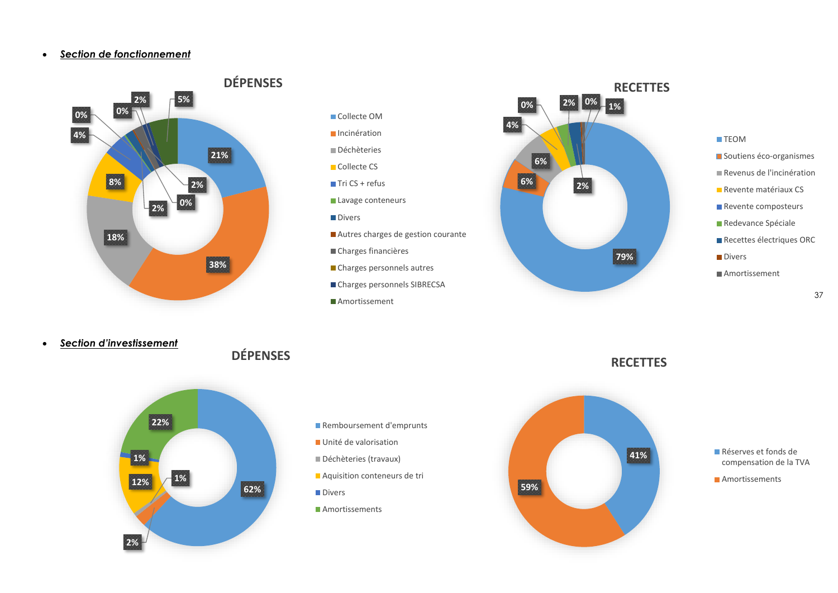#### <span id="page-36-1"></span><span id="page-36-0"></span>*Section de fonctionnement*





- **Incinération**
- Déchèteries
- Collecte CS
- $\blacksquare$  Tri CS + refus
- Lavage conteneurs
- **Divers**
- Autres charges de gestion courante
- Charges financières
- **Charges personnels autres**
- Charges personnels SIBRECSA
- **Amortissement**



#### **TEOM**

- **Soutiens éco-organismes**
- Revenus de l'incinération
- **Revente matériaux CS**
- Revente composteurs
- Redevance Spéciale
- Recettes électriques ORC
- **Divers**
- Amortissement

<span id="page-36-2"></span>*Section d'investissement*





- Remboursement d'emprunts
- Unité de valorisation
- Déchèteries (travaux)
- **Aquisition conteneurs de tri**
- **Divers**
- **Amortissements**





Réserves et fonds de compensation de la TVA

**Amortissements**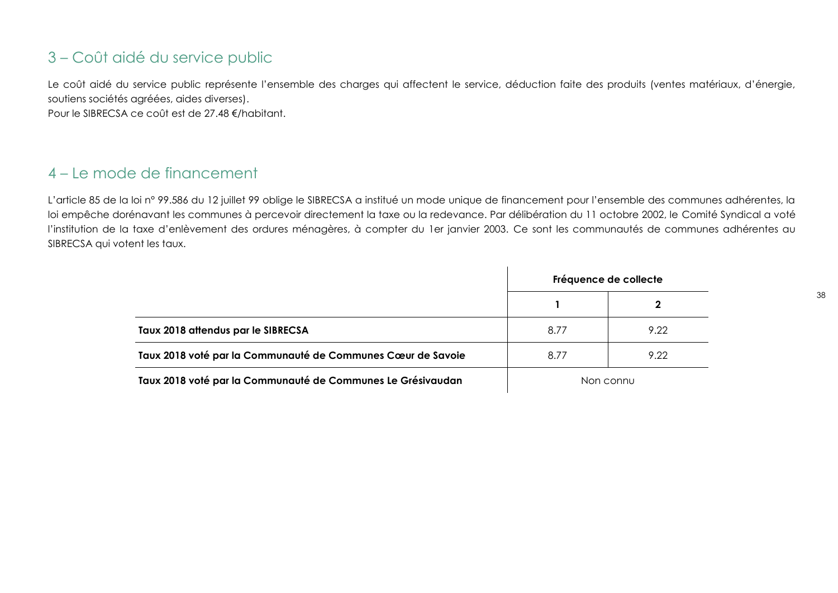## <span id="page-37-0"></span>3 – Coût aidé du service public

Le coût aidé du service public représente l'ensemble des charges qui affectent le service, déduction faite des produits (ventes matériaux, d'énergie, soutiens sociétés agréées, aides diverses).

Pour le SIBRECSA ce coût est de 27.48 €/habitant.

## <span id="page-37-1"></span>4 – Le mode de financement

L'article 85 de la loi nº 99.586 du 12 juillet 99 oblige le SIBRECSA a institué un mode unique de financement pour l'ensemble des communes adhérentes, la loi empêche dorénavant les communes à percevoir directement la taxe ou la redevance. Par délibération du 11 octobre 2002, le Comité Syndical a voté l'institution de la taxe d'enlèvement des ordures ménagères, à compter du 1er janvier 2003. Ce sont les communautés de communes adhérentes au SIBRECSA qui votent les taux.

|                                                             | Fréquence de collecte |      |
|-------------------------------------------------------------|-----------------------|------|
|                                                             |                       |      |
| Taux 2018 attendus par le SIBRECSA                          | 8.77                  | 9.22 |
| Taux 2018 voté par la Communauté de Communes Cœur de Savoie | 8.77                  | 9.22 |
| Taux 2018 voté par la Communauté de Communes Le Grésivaudan | Non connu             |      |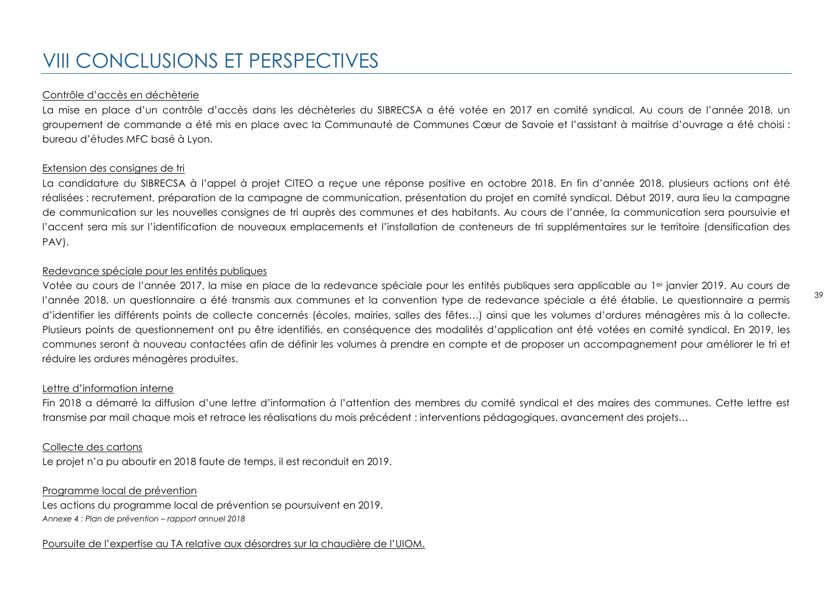#### <span id="page-38-0"></span>Contrôle d'accès en déchèterie

La mise en place d'un contrôle d'accès dans les déchèteries du SIBRECSA a été votée en 2017 en comité syndical. Au cours de l'année 2018, un groupement de commande a été mis en place avec la Communauté de Communes Cœur de Savoie et l'assistant à maitrise d'ouvrage a été choisi : bureau d'études MFC basé à Lyon.

#### Extension des consignes de tri

La candidature du SIBRECSA à l'appel à projet CITEO a recue une réponse positive en octobre 2018. En fin d'année 2018, plusieurs actions ont été réalisées : recrutement, préparation de la campagne de communication, présentation du projet en comité syndical. Début 2019, aura lieu la campagne de communication sur les nouvelles consignes de tri auprès des communes et des habitants. Au cours de l'année, la communication sera poursuivie et l'accent sera mis sur l'identification de nouveaux emplacements et l'installation de conteneurs de tri supplémentaires sur le territoire (densification des PAV).

#### Redevance spéciale pour les entités publiques

Votée au cours de l'année 2017, la mise en place de la redevance spéciale pour les entités publiques sera applicable au 1<sup>er</sup> janvier 2019. Au cours de l'année 2018, un questionnaire a été transmis aux communes et la convention type de redevance spéciale a été établie. Le questionnaire a permis d'identifier les différents points de collecte concernés (écoles, mairies, salles des fêtes…) ainsi que les volumes d'ordures ménagères mis à la collecte. Plusieurs points de questionnement ont pu être identifiés, en conséquence des modalités d'application ont été votées en comité syndical. En 2019, les communes seront à nouveau contactées afin de définir les volumes à prendre en compte et de proposer un accompagnement pour améliorer le tri et réduire les ordures ménagères produites.

#### Lettre d'information interne

Fin 2018 a démarré la diffusion d'une lettre d'information à l'attention des membres du comité syndical et des maires des communes. Cette lettre est transmise par mail chaque mois et retrace les réalisations du mois précédent : interventions pédagogiques, avancement des projets…

#### Collecte des cartons

Le projet n'a pu aboutir en 2018 faute de temps, il est reconduit en 2019.

#### Programme local de prévention

Les actions du programme local de prévention se poursuivent en 2019. *Annexe 4 : Plan de prévention – rapport annuel 2018*

#### Poursuite de l'expertise au TA relative aux désordres sur la chaudière de l'UIOM.